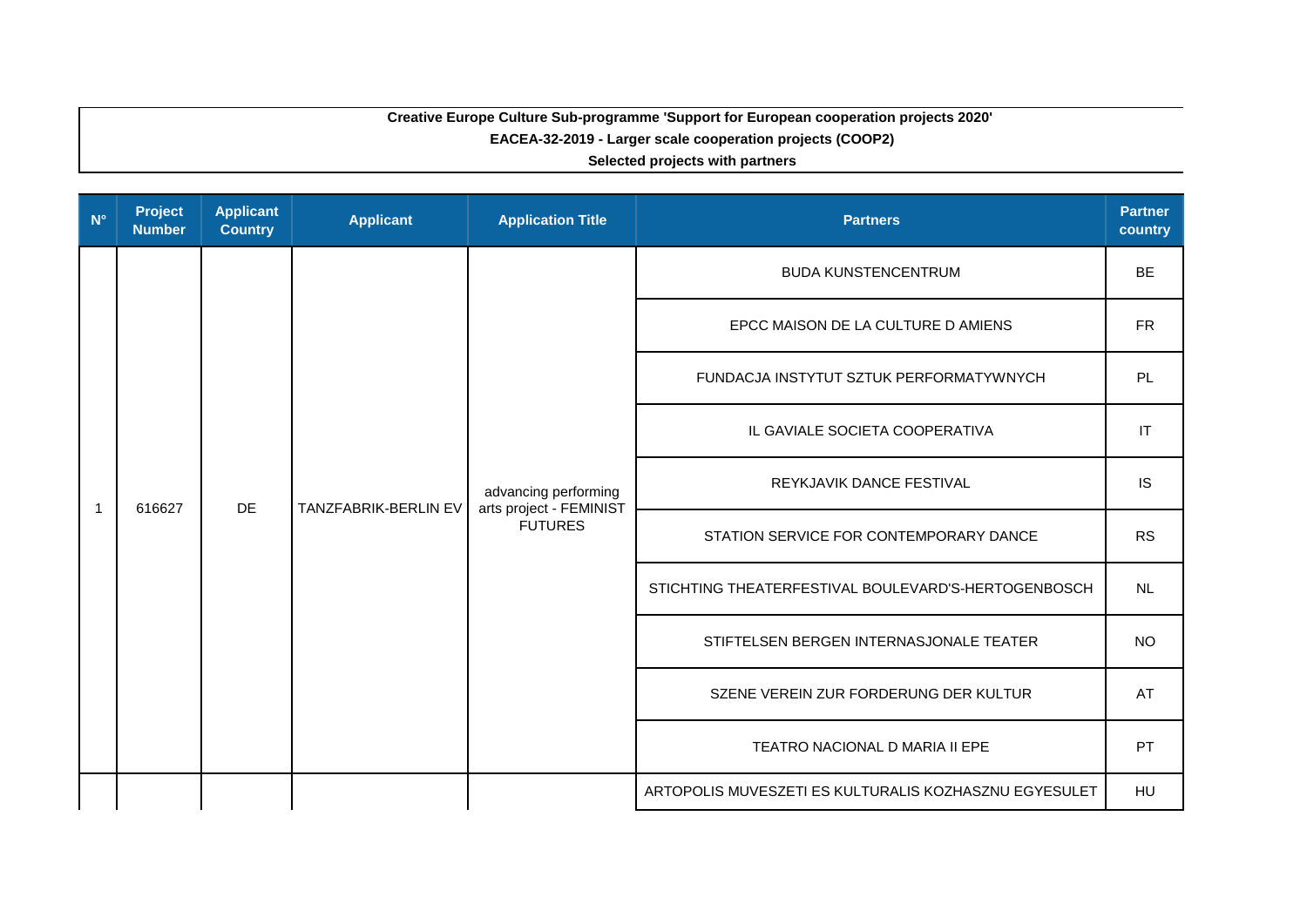## **Creative Europe Culture Sub-programme 'Support for European cooperation projects 2020' EACEA-32-2019 - Larger scale cooperation projects (COOP2)**

**Selected projects with partners**

| $N^{\circ}$  | <b>Project</b><br><b>Number</b>             | <b>Applicant</b><br><b>Country</b> | <b>Applicant</b>               | <b>Application Title</b>                                          | <b>Partners</b>                                       | <b>Partner</b><br>country |
|--------------|---------------------------------------------|------------------------------------|--------------------------------|-------------------------------------------------------------------|-------------------------------------------------------|---------------------------|
|              |                                             |                                    |                                |                                                                   | <b>BUDA KUNSTENCENTRUM</b>                            | <b>BE</b>                 |
|              |                                             |                                    |                                |                                                                   | EPCC MAISON DE LA CULTURE D AMIENS                    | <b>FR</b>                 |
|              | <b>DE</b><br>TANZFABRIK-BERLIN EV<br>616627 |                                    |                                |                                                                   | FUNDACJA INSTYTUT SZTUK PERFORMATYWNYCH               | PL                        |
|              |                                             |                                    | IL GAVIALE SOCIETA COOPERATIVA | IT                                                                |                                                       |                           |
| $\mathbf{1}$ |                                             |                                    |                                | advancing performing<br>arts project - FEMINIST<br><b>FUTURES</b> | REYKJAVIK DANCE FESTIVAL                              | <b>IS</b>                 |
|              |                                             |                                    |                                |                                                                   | STATION SERVICE FOR CONTEMPORARY DANCE                | <b>RS</b>                 |
|              |                                             |                                    |                                |                                                                   | STICHTING THEATERFESTIVAL BOULEVARD'S-HERTOGENBOSCH   | <b>NL</b>                 |
|              |                                             |                                    |                                |                                                                   | STIFTELSEN BERGEN INTERNASJONALE TEATER               | <b>NO</b>                 |
|              |                                             |                                    |                                |                                                                   | SZENE VEREIN ZUR FORDERUNG DER KULTUR                 | AT                        |
|              |                                             |                                    |                                |                                                                   | TEATRO NACIONAL D MARIA II EPE                        | PT                        |
|              |                                             |                                    |                                |                                                                   | ARTOPOLIS MUVESZETI ES KULTURALIS KOZHASZNU EGYESULET | HU                        |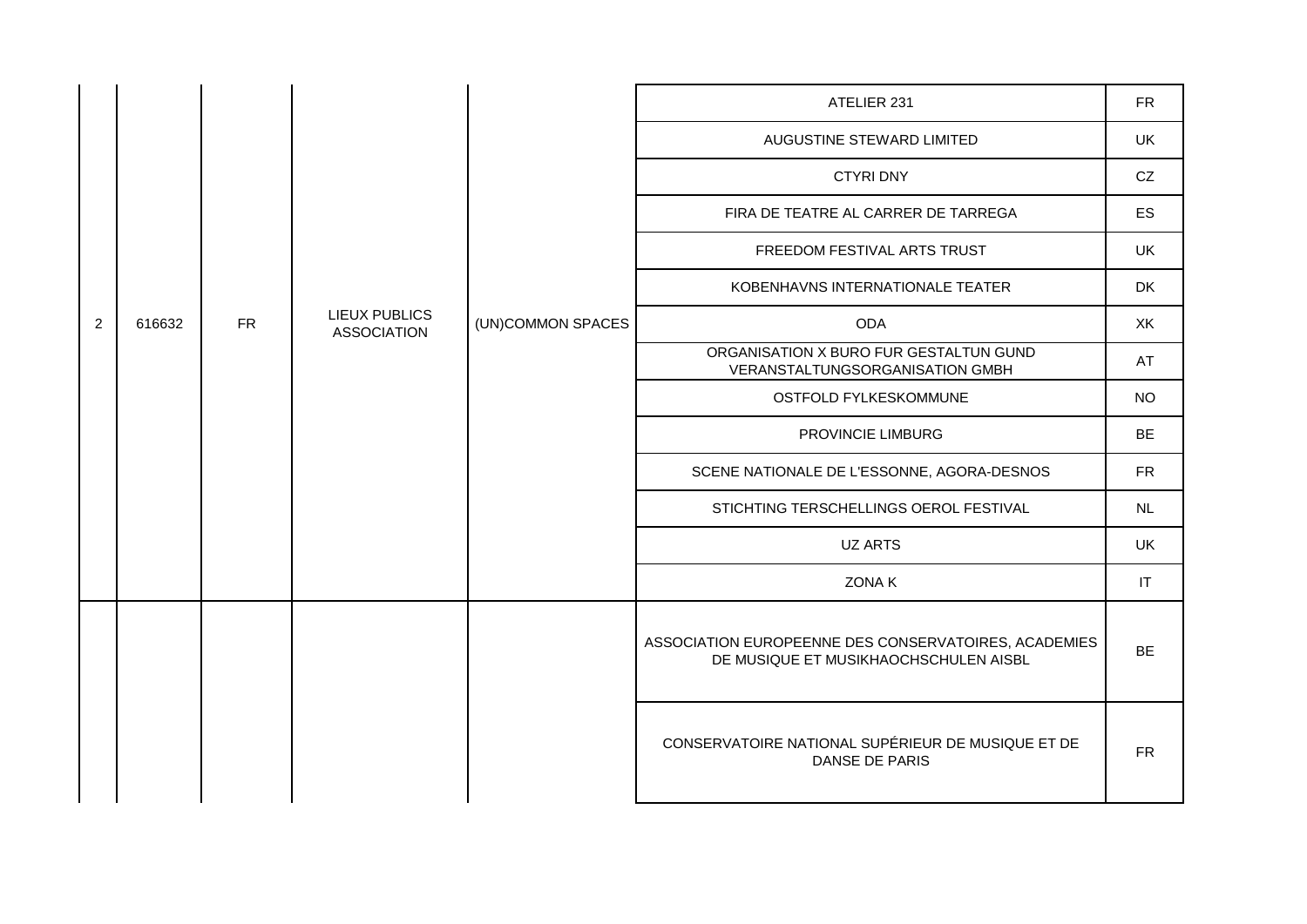|                |        |           |                                            |                   | ATELIER 231                                                                                   | <b>FR</b> |
|----------------|--------|-----------|--------------------------------------------|-------------------|-----------------------------------------------------------------------------------------------|-----------|
|                |        |           |                                            |                   | AUGUSTINE STEWARD LIMITED                                                                     | UK        |
|                |        |           |                                            |                   | <b>CTYRI DNY</b>                                                                              | CZ        |
|                |        |           |                                            |                   | FIRA DE TEATRE AL CARRER DE TARREGA                                                           | ES        |
|                |        |           |                                            |                   | FREEDOM FESTIVAL ARTS TRUST                                                                   | UK        |
|                |        |           |                                            |                   | KOBENHAVNS INTERNATIONALE TEATER                                                              | DK        |
| $\overline{2}$ | 616632 | <b>FR</b> | <b>LIEUX PUBLICS</b><br><b>ASSOCIATION</b> | (UN)COMMON SPACES | <b>ODA</b>                                                                                    | XK        |
|                |        |           |                                            |                   | ORGANISATION X BURO FUR GESTALTUN GUND<br>VERANSTALTUNGSORGANISATION GMBH                     | AT        |
|                |        |           |                                            |                   | OSTFOLD FYLKESKOMMUNE                                                                         | <b>NO</b> |
|                |        |           |                                            |                   | PROVINCIE LIMBURG                                                                             | <b>BE</b> |
|                |        |           |                                            |                   | SCENE NATIONALE DE L'ESSONNE, AGORA-DESNOS                                                    | <b>FR</b> |
|                |        |           |                                            |                   | STICHTING TERSCHELLINGS OEROL FESTIVAL                                                        | NL        |
|                |        |           |                                            |                   | UZ ARTS                                                                                       | UK        |
|                |        |           |                                            |                   | ZONA K                                                                                        | IT        |
|                |        |           |                                            |                   | ASSOCIATION EUROPEENNE DES CONSERVATOIRES, ACADEMIES<br>DE MUSIQUE ET MUSIKHAOCHSCHULEN AISBL | <b>BE</b> |
|                |        |           |                                            |                   | CONSERVATOIRE NATIONAL SUPÉRIEUR DE MUSIQUE ET DE<br>DANSE DE PARIS                           | <b>FR</b> |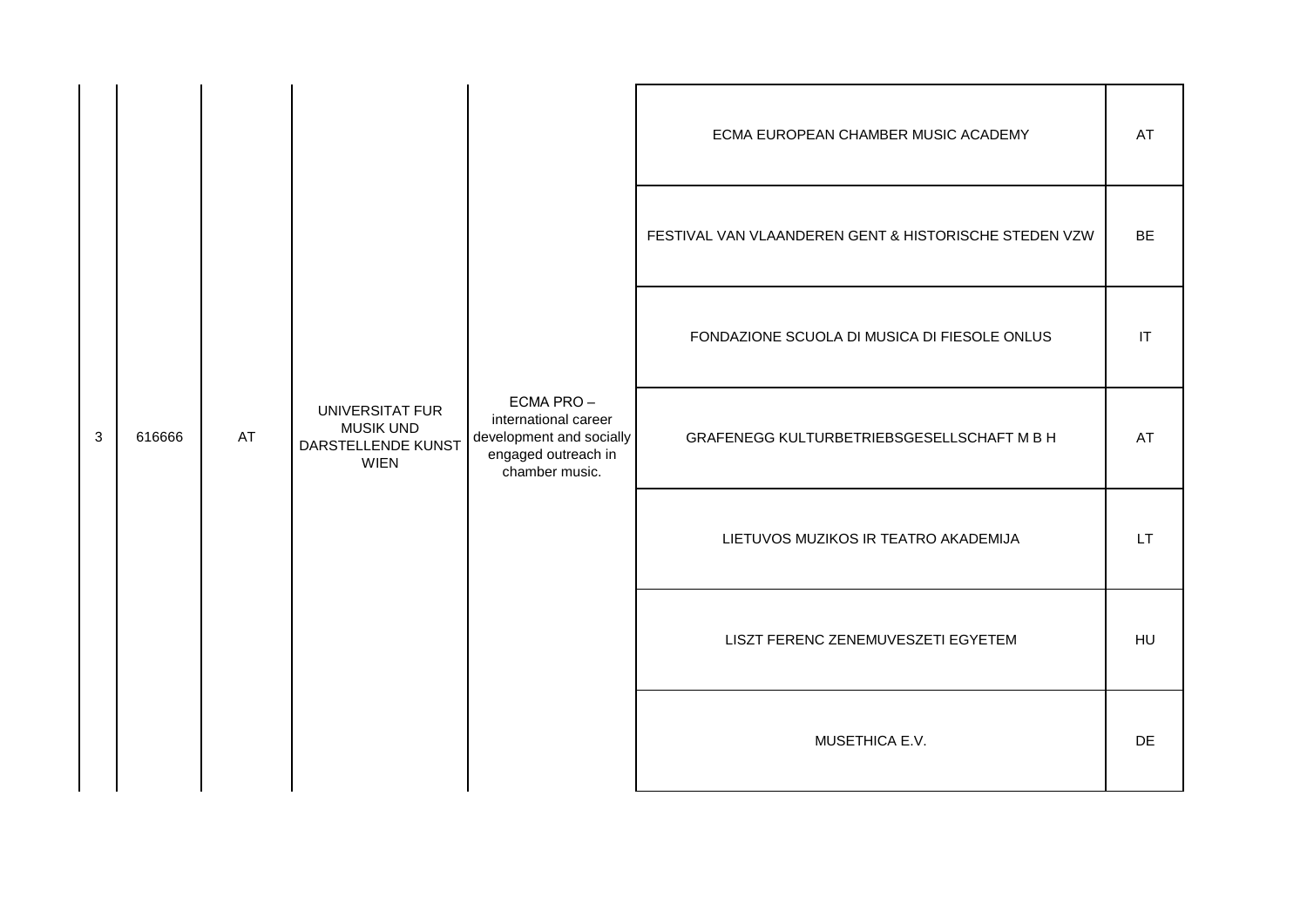| 3 |        |    |                                                                          |                                                                                                        | ECMA EUROPEAN CHAMBER MUSIC ACADEMY                   | AT                     |
|---|--------|----|--------------------------------------------------------------------------|--------------------------------------------------------------------------------------------------------|-------------------------------------------------------|------------------------|
|   |        |    |                                                                          |                                                                                                        | FESTIVAL VAN VLAANDEREN GENT & HISTORISCHE STEDEN VZW | <b>BE</b>              |
|   |        |    |                                                                          | ECMA PRO-<br>international career<br>development and socially<br>engaged outreach in<br>chamber music. | FONDAZIONE SCUOLA DI MUSICA DI FIESOLE ONLUS          | $\mathsf{I}\mathsf{T}$ |
|   | 616666 | AT | UNIVERSITAT FUR<br><b>MUSIK UND</b><br>DARSTELLENDE KUNST<br><b>WIEN</b> |                                                                                                        | GRAFENEGG KULTURBETRIEBSGESELLSCHAFT M B H            | AT                     |
|   |        |    |                                                                          |                                                                                                        | LIETUVOS MUZIKOS IR TEATRO AKADEMIJA                  | LT.                    |
|   |        |    |                                                                          |                                                                                                        | LISZT FERENC ZENEMUVESZETI EGYETEM                    | HU                     |
|   |        |    |                                                                          |                                                                                                        | MUSETHICA E.V.                                        | <b>DE</b>              |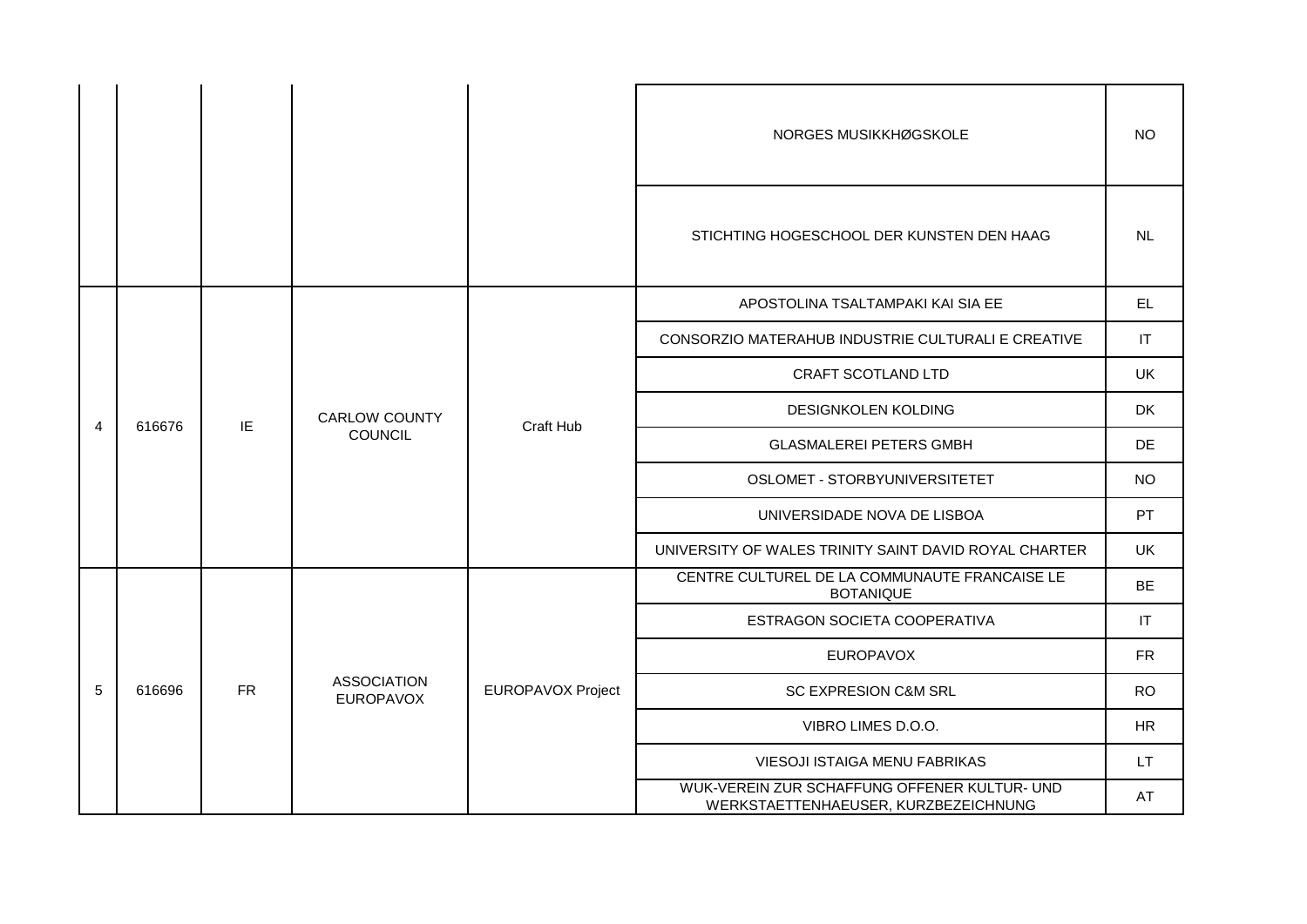|                |        |           |                                        |                   | NORGES MUSIKKHØGSKOLE                                                                | <b>NO</b> |
|----------------|--------|-----------|----------------------------------------|-------------------|--------------------------------------------------------------------------------------|-----------|
|                |        |           |                                        |                   | STICHTING HOGESCHOOL DER KUNSTEN DEN HAAG                                            | NL        |
|                |        |           |                                        | Craft Hub         | APOSTOLINA TSALTAMPAKI KAI SIA EE                                                    | EL.       |
|                |        |           |                                        |                   | CONSORZIO MATERAHUB INDUSTRIE CULTURALI E CREATIVE                                   | IT        |
|                |        |           | <b>CARLOW COUNTY</b><br>COUNCIL        |                   | CRAFT SCOTLAND LTD                                                                   | <b>UK</b> |
|                | 616676 | IE        |                                        |                   | <b>DESIGNKOLEN KOLDING</b>                                                           | DK        |
| $\overline{4}$ |        |           |                                        |                   | <b>GLASMALEREI PETERS GMBH</b>                                                       | DE        |
|                |        |           |                                        |                   | OSLOMET - STORBYUNIVERSITETET                                                        | <b>NO</b> |
|                |        |           |                                        |                   | UNIVERSIDADE NOVA DE LISBOA                                                          | PT        |
|                |        |           |                                        |                   | UNIVERSITY OF WALES TRINITY SAINT DAVID ROYAL CHARTER                                | <b>UK</b> |
|                |        |           |                                        |                   | CENTRE CULTUREL DE LA COMMUNAUTE FRANCAISE LE<br><b>BOTANIQUE</b>                    | <b>BE</b> |
|                |        |           |                                        |                   | ESTRAGON SOCIETA COOPERATIVA                                                         | IT        |
|                |        |           |                                        |                   | <b>EUROPAVOX</b>                                                                     | <b>FR</b> |
| 5              | 616696 | <b>FR</b> | <b>ASSOCIATION</b><br><b>EUROPAVOX</b> | EUROPAVOX Project | SC EXPRESION C&M SRL                                                                 | <b>RO</b> |
|                |        |           |                                        |                   | VIBRO LIMES D.O.O.                                                                   | <b>HR</b> |
|                |        |           |                                        |                   | VIESOJI ISTAIGA MENU FABRIKAS                                                        | <b>LT</b> |
|                |        |           |                                        |                   | WUK-VEREIN ZUR SCHAFFUNG OFFENER KULTUR- UND<br>WERKSTAETTENHAEUSER, KURZBEZEICHNUNG | AT        |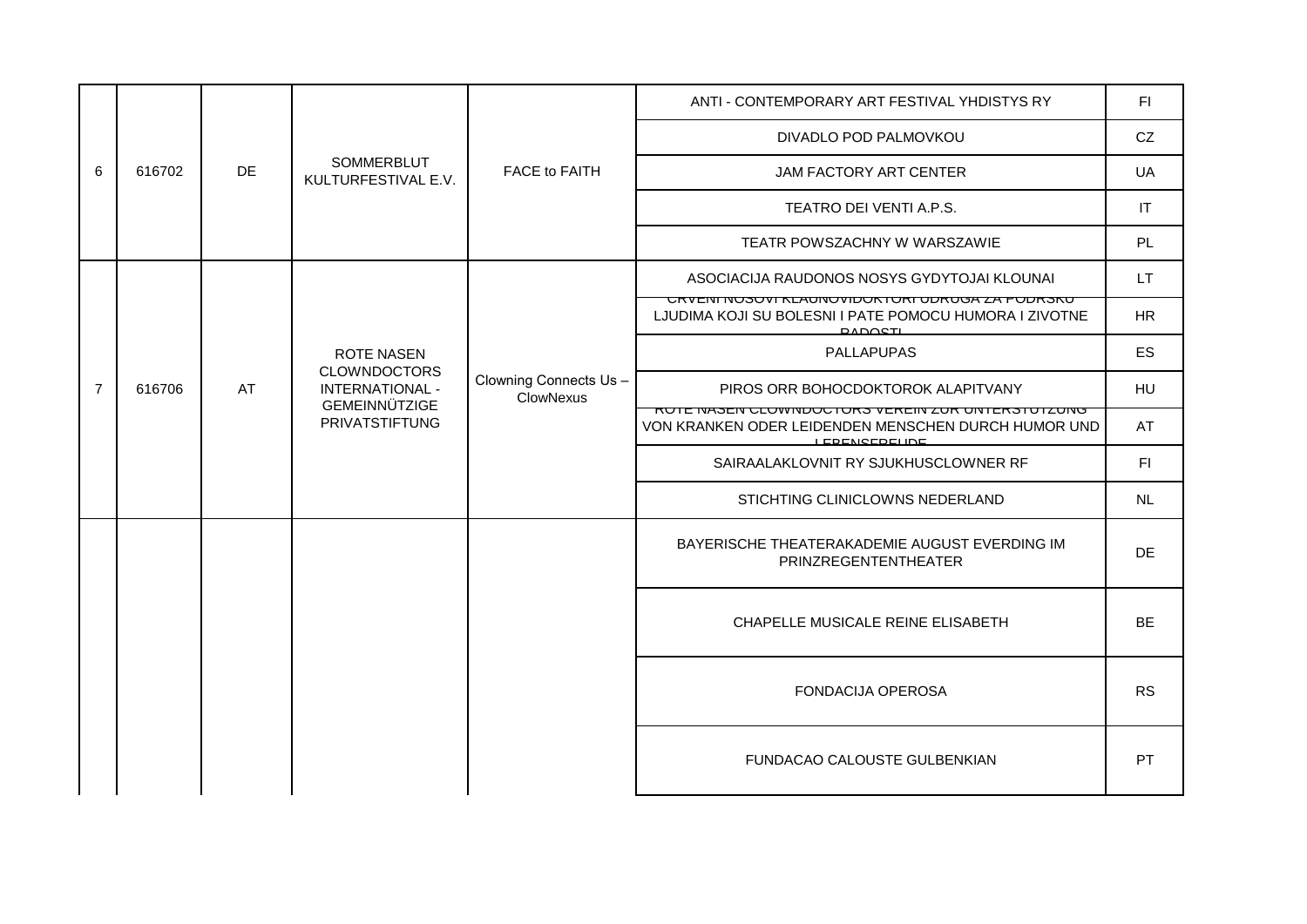|                          |        |    | SOMMERBLUT<br>KULTURFESTIVAL E.V.                              |                                           | ANTI - CONTEMPORARY ART FESTIVAL YHDISTYS RY                                                                                              | FI.       |
|--------------------------|--------|----|----------------------------------------------------------------|-------------------------------------------|-------------------------------------------------------------------------------------------------------------------------------------------|-----------|
|                          |        |    |                                                                |                                           | DIVADLO POD PALMOVKOU                                                                                                                     | CZ        |
| 6                        | 616702 | DE |                                                                | FACE to FAITH                             | JAM FACTORY ART CENTER                                                                                                                    | UA        |
|                          |        |    |                                                                |                                           | TEATRO DEI VENTI A.P.S.                                                                                                                   | IT        |
|                          |        |    |                                                                |                                           | TEATR POWSZACHNY W WARSZAWIE                                                                                                              | PL        |
|                          |        |    |                                                                |                                           | ASOCIACIJA RAUDONOS NOSYS GYDYTOJAI KLOUNAI                                                                                               | LT.       |
| $\overline{7}$<br>616706 |        |    |                                                                |                                           | URVENI NUSUVI REAUNUVIIUURTURI UDRUGA ZA FUDRSKU<br>LJUDIMA KOJI SU BOLESNI I PATE POMOCU HUMORA I ZIVOTNE<br><b>DADOSTL</b>              | <b>HR</b> |
|                          |        |    | <b>ROTE NASEN</b>                                              |                                           | <b>PALLAPUPAS</b>                                                                                                                         | ES        |
|                          |        | AT | <b>CLOWNDOCTORS</b><br>INTERNATIONAL -<br><b>GEMEINNÜTZIGE</b> | Clowning Connects Us-<br><b>ClowNexus</b> | PIROS ORR BOHOCDOKTOROK ALAPITVANY                                                                                                        | HU        |
|                          |        |    | <b>PRIVATSTIFTUNG</b>                                          |                                           | <u>NUTE IVASEN ULUWINDUUTUNS VENEIN ZUN UNTENSTUTZUNG</u><br>VON KRANKEN ODER LEIDENDEN MENSCHEN DURCH HUMOR UND<br><b>I EDEMOEDELINE</b> | AT        |
|                          |        |    |                                                                |                                           | SAIRAALAKLOVNIT RY SJUKHUSCLOWNER RF                                                                                                      | F1        |
|                          |        |    |                                                                |                                           | STICHTING CLINICLOWNS NEDERLAND                                                                                                           | NL        |
|                          |        |    |                                                                |                                           | BAYERISCHE THEATERAKADEMIE AUGUST EVERDING IM<br>PRINZREGENTENTHEATER                                                                     | <b>DE</b> |
|                          |        |    |                                                                |                                           | CHAPELLE MUSICALE REINE ELISABETH                                                                                                         | BE        |
|                          |        |    |                                                                |                                           | <b>FONDACIJA OPEROSA</b>                                                                                                                  | <b>RS</b> |
|                          |        |    |                                                                |                                           | FUNDACAO CALOUSTE GULBENKIAN                                                                                                              | <b>PT</b> |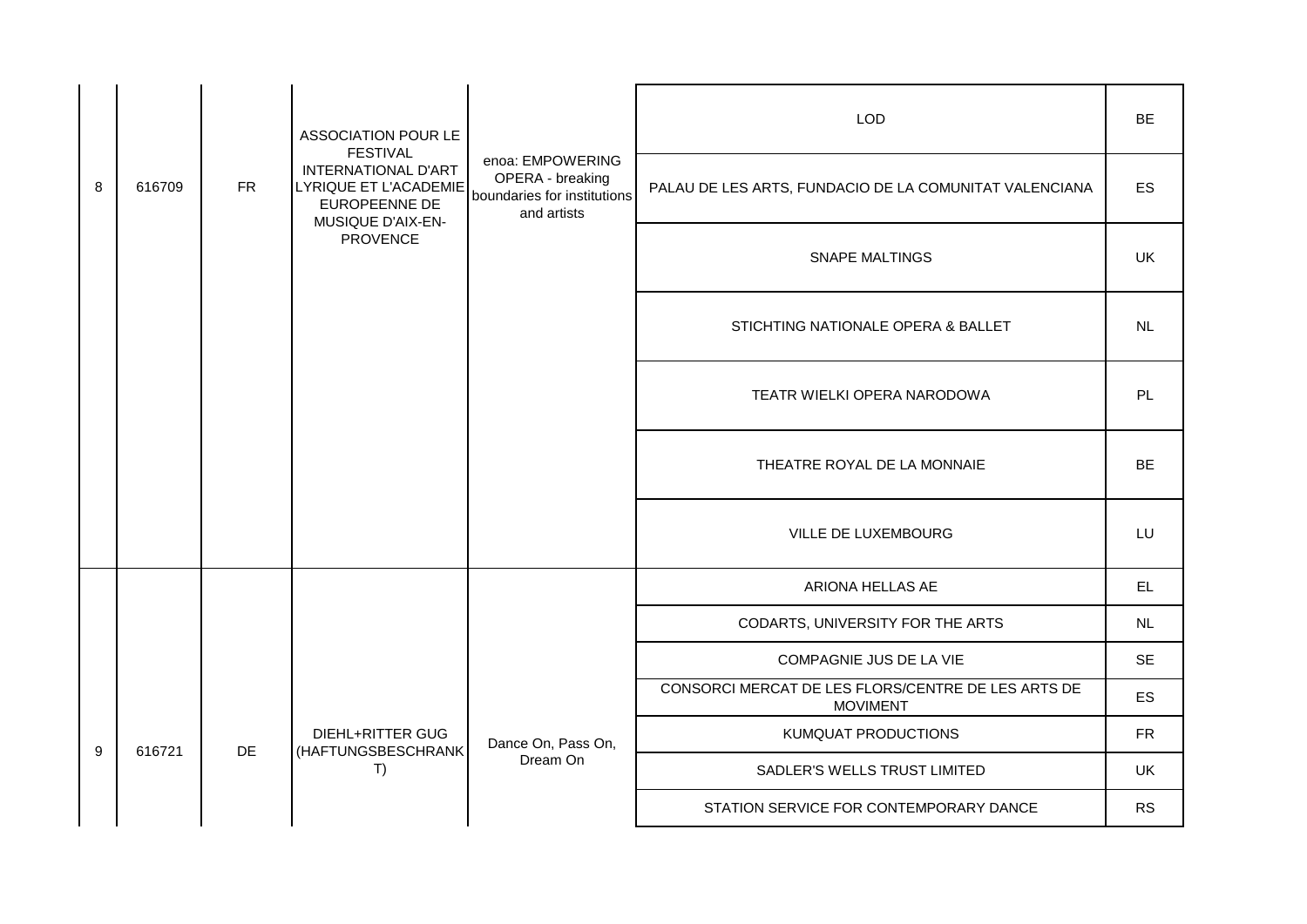|   |        |           | <b>ASSOCIATION POUR LE</b><br><b>FESTIVAL</b>                                                    |                                                                                    | <b>LOD</b>                                                            | <b>BE</b>  |
|---|--------|-----------|--------------------------------------------------------------------------------------------------|------------------------------------------------------------------------------------|-----------------------------------------------------------------------|------------|
| 8 | 616709 | <b>FR</b> | <b>INTERNATIONAL D'ART</b><br><b>LYRIQUE ET L'ACADEMIE</b><br>EUROPEENNE DE<br>MUSIQUE D'AIX-EN- | enoa: EMPOWERING<br>OPERA - breaking<br>boundaries for institutions<br>and artists | PALAU DE LES ARTS, FUNDACIO DE LA COMUNITAT VALENCIANA                | ES         |
|   |        |           | <b>PROVENCE</b>                                                                                  |                                                                                    | <b>SNAPE MALTINGS</b>                                                 | UK         |
|   |        |           |                                                                                                  |                                                                                    | STICHTING NATIONALE OPERA & BALLET                                    | <b>NL</b>  |
|   |        |           |                                                                                                  |                                                                                    | TEATR WIELKI OPERA NARODOWA                                           | <b>PL</b>  |
|   |        |           |                                                                                                  |                                                                                    | THEATRE ROYAL DE LA MONNAIE                                           | <b>BE</b>  |
|   |        |           |                                                                                                  |                                                                                    | VILLE DE LUXEMBOURG                                                   | LU         |
|   |        |           |                                                                                                  |                                                                                    | ARIONA HELLAS AE                                                      | EL.        |
|   |        |           |                                                                                                  |                                                                                    | CODARTS, UNIVERSITY FOR THE ARTS                                      | NL         |
|   |        |           |                                                                                                  |                                                                                    | COMPAGNIE JUS DE LA VIE                                               | <b>SE</b>  |
|   |        |           |                                                                                                  |                                                                                    | CONSORCI MERCAT DE LES FLORS/CENTRE DE LES ARTS DE<br><b>MOVIMENT</b> | ES         |
|   |        |           | DIEHL+RITTER GUG                                                                                 | Dance On, Pass On,                                                                 | KUMQUAT PRODUCTIONS                                                   | ${\sf FR}$ |
| 9 | 616721 | <b>DE</b> | (HAFTUNGSBESCHRANK<br>T)                                                                         | Dream On                                                                           | SADLER'S WELLS TRUST LIMITED                                          | <b>UK</b>  |
|   |        |           |                                                                                                  |                                                                                    | STATION SERVICE FOR CONTEMPORARY DANCE                                | <b>RS</b>  |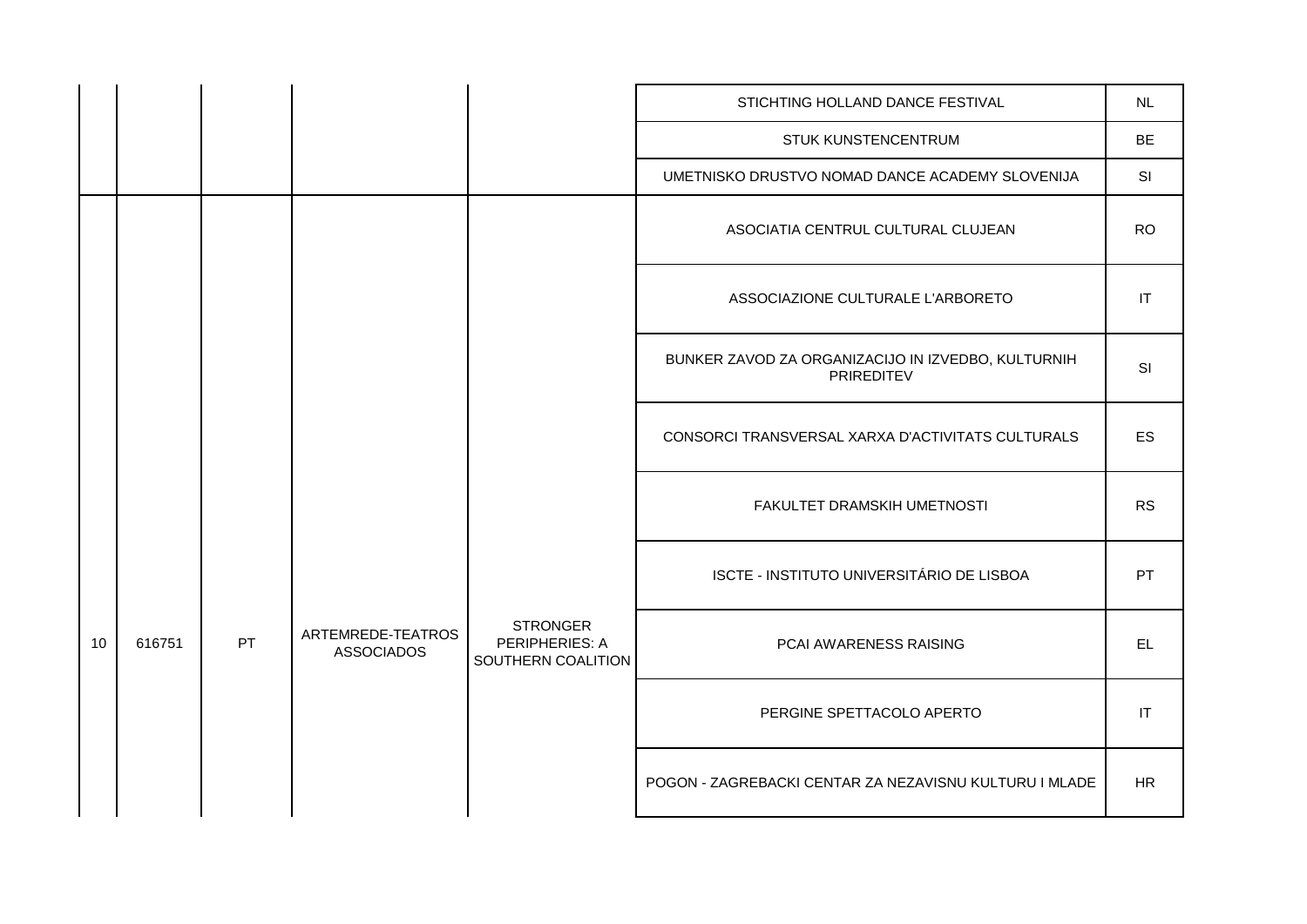|    |        |    |                                        |                                                         | STICHTING HOLLAND DANCE FESTIVAL                                 | <b>NL</b>                         |
|----|--------|----|----------------------------------------|---------------------------------------------------------|------------------------------------------------------------------|-----------------------------------|
|    |        |    |                                        |                                                         | STUK KUNSTENCENTRUM                                              | <b>BE</b>                         |
|    |        |    |                                        |                                                         | UMETNISKO DRUSTVO NOMAD DANCE ACADEMY SLOVENIJA                  | SI                                |
|    |        |    |                                        |                                                         | ASOCIATIA CENTRUL CULTURAL CLUJEAN                               | <b>RO</b>                         |
|    |        |    |                                        |                                                         | ASSOCIAZIONE CULTURALE L'ARBORETO                                | $\ensuremath{\mathsf{IT}}\xspace$ |
|    |        |    |                                        |                                                         | BUNKER ZAVOD ZA ORGANIZACIJO IN IZVEDBO, KULTURNIH<br>PRIREDITEV | SI                                |
|    |        |    |                                        |                                                         | CONSORCI TRANSVERSAL XARXA D'ACTIVITATS CULTURALS                | ES                                |
|    |        |    |                                        |                                                         | FAKULTET DRAMSKIH UMETNOSTI                                      | <b>RS</b>                         |
|    |        |    |                                        |                                                         | ISCTE - INSTITUTO UNIVERSITÁRIO DE LISBOA                        | PT                                |
| 10 | 616751 | PT | ARTEMREDE-TEATROS<br><b>ASSOCIADOS</b> | <b>STRONGER</b><br>PERIPHERIES: A<br>SOUTHERN COALITION | PCAI AWARENESS RAISING                                           | <b>EL</b>                         |
|    |        |    |                                        |                                                         | PERGINE SPETTACOLO APERTO                                        | IT                                |
|    |        |    |                                        |                                                         | POGON - ZAGREBACKI CENTAR ZA NEZAVISNU KULTURU I MLADE           | <b>HR</b>                         |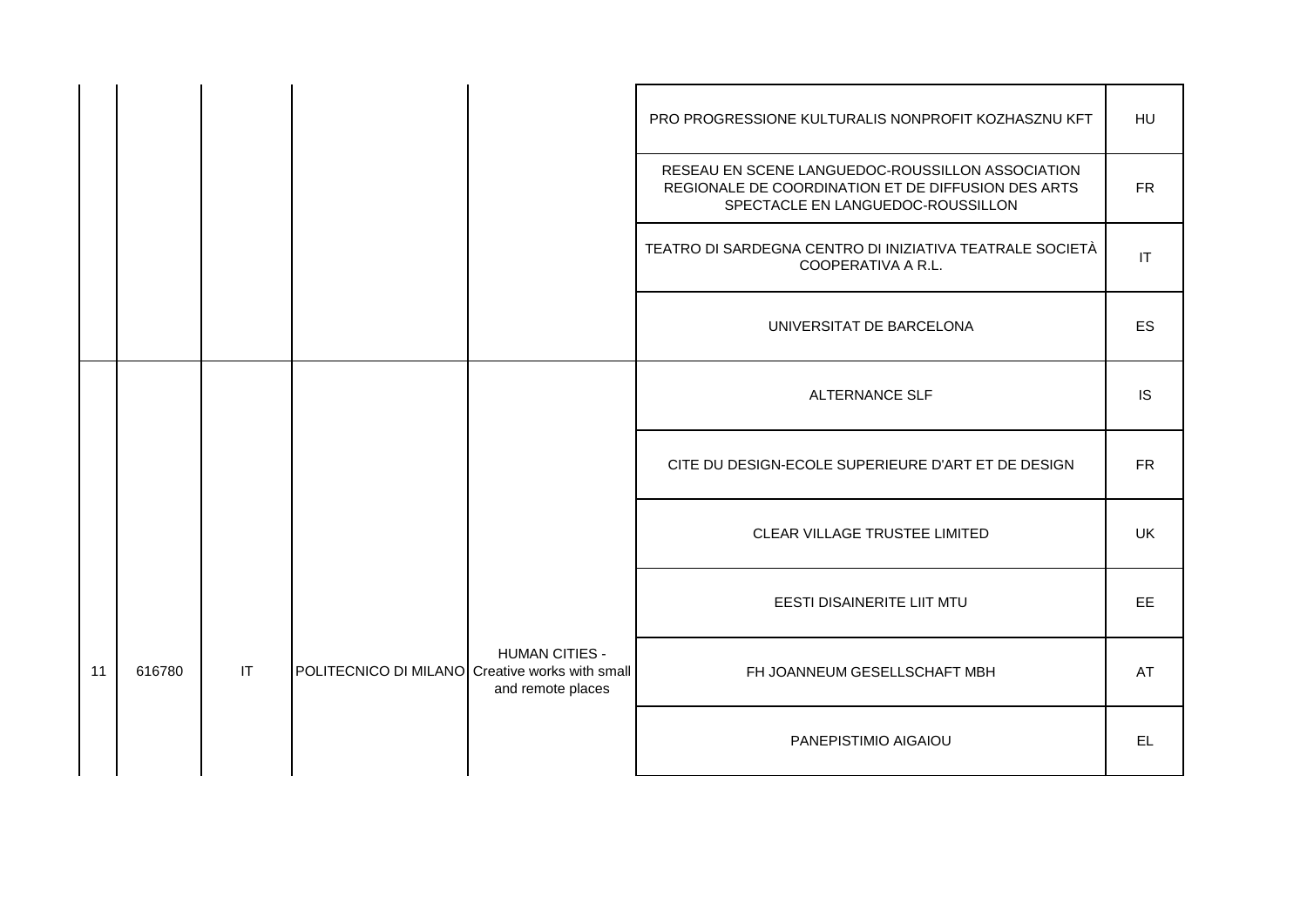|    |        |    |                                                 |                                            | PRO PROGRESSIONE KULTURALIS NONPROFIT KOZHASZNU KFT                                                                                         | HU                     |
|----|--------|----|-------------------------------------------------|--------------------------------------------|---------------------------------------------------------------------------------------------------------------------------------------------|------------------------|
|    |        |    |                                                 |                                            | RESEAU EN SCENE LANGUEDOC-ROUSSILLON ASSOCIATION<br>REGIONALE DE COORDINATION ET DE DIFFUSION DES ARTS<br>SPECTACLE EN LANGUEDOC-ROUSSILLON | <b>FR</b>              |
|    |        |    |                                                 |                                            | TEATRO DI SARDEGNA CENTRO DI INIZIATIVA TEATRALE SOCIETÀ<br>COOPERATIVA A R.L.                                                              | $\mathsf{I}\mathsf{T}$ |
|    |        |    |                                                 |                                            | UNIVERSITAT DE BARCELONA                                                                                                                    | ES                     |
|    |        |    |                                                 |                                            | <b>ALTERNANCE SLF</b>                                                                                                                       | <b>IS</b>              |
|    |        |    |                                                 |                                            | CITE DU DESIGN-ECOLE SUPERIEURE D'ART ET DE DESIGN                                                                                          | <b>FR</b>              |
|    |        |    |                                                 |                                            | CLEAR VILLAGE TRUSTEE LIMITED                                                                                                               | <b>UK</b>              |
|    |        |    |                                                 |                                            | EESTI DISAINERITE LIIT MTU                                                                                                                  | EE.                    |
| 11 | 616780 | IT | POLITECNICO DI MILANO Creative works with small | <b>HUMAN CITIES -</b><br>and remote places | FH JOANNEUM GESELLSCHAFT MBH                                                                                                                | AT                     |
|    |        |    |                                                 |                                            | PANEPISTIMIO AIGAIOU                                                                                                                        | EL.                    |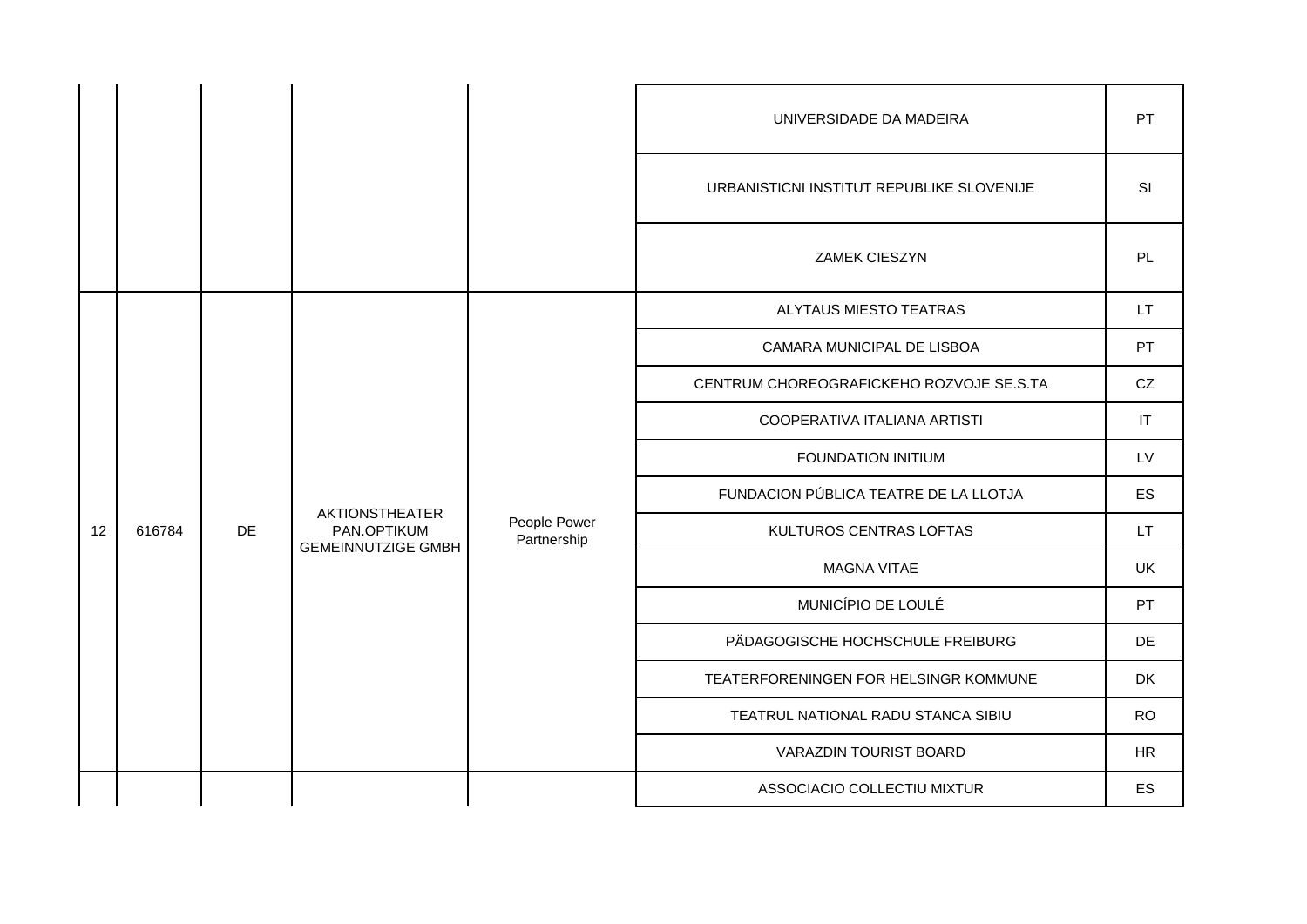|    |        |    |                                                                   |                             | UNIVERSIDADE DA MADEIRA                   | PT         |
|----|--------|----|-------------------------------------------------------------------|-----------------------------|-------------------------------------------|------------|
|    |        |    |                                                                   |                             | URBANISTICNI INSTITUT REPUBLIKE SLOVENIJE | SI         |
|    |        |    |                                                                   |                             | ZAMEK CIESZYN                             | PL         |
|    |        |    |                                                                   | People Power<br>Partnership | ALYTAUS MIESTO TEATRAS                    | <b>LT</b>  |
|    |        |    |                                                                   |                             | CAMARA MUNICIPAL DE LISBOA                | PT         |
|    |        |    |                                                                   |                             | CENTRUM CHOREOGRAFICKEHO ROZVOJE SE.S.TA  | CZ         |
|    |        |    |                                                                   |                             | COOPERATIVA ITALIANA ARTISTI              | IT         |
|    |        |    |                                                                   |                             | <b>FOUNDATION INITIUM</b>                 | <b>LV</b>  |
|    |        |    | <b>AKTIONSTHEATER</b><br>PAN.OPTIKUM<br><b>GEMEINNUTZIGE GMBH</b> |                             | FUNDACION PÚBLICA TEATRE DE LA LLOTJA     | ES         |
| 12 | 616784 | DE |                                                                   |                             | KULTUROS CENTRAS LOFTAS                   | LT.        |
|    |        |    |                                                                   |                             | <b>MAGNA VITAE</b>                        | <b>UK</b>  |
|    |        |    |                                                                   |                             | MUNICÍPIO DE LOULÉ                        | PT         |
|    |        |    |                                                                   |                             | PÄDAGOGISCHE HOCHSCHULE FREIBURG          | DE         |
|    |        |    |                                                                   |                             | TEATERFORENINGEN FOR HELSINGR KOMMUNE     | <b>DK</b>  |
|    |        |    |                                                                   |                             | TEATRUL NATIONAL RADU STANCA SIBIU        | <b>RO</b>  |
|    |        |    |                                                                   |                             | VARAZDIN TOURIST BOARD                    | ${\sf HR}$ |
|    |        |    |                                                                   |                             | ASSOCIACIO COLLECTIU MIXTUR               | ES         |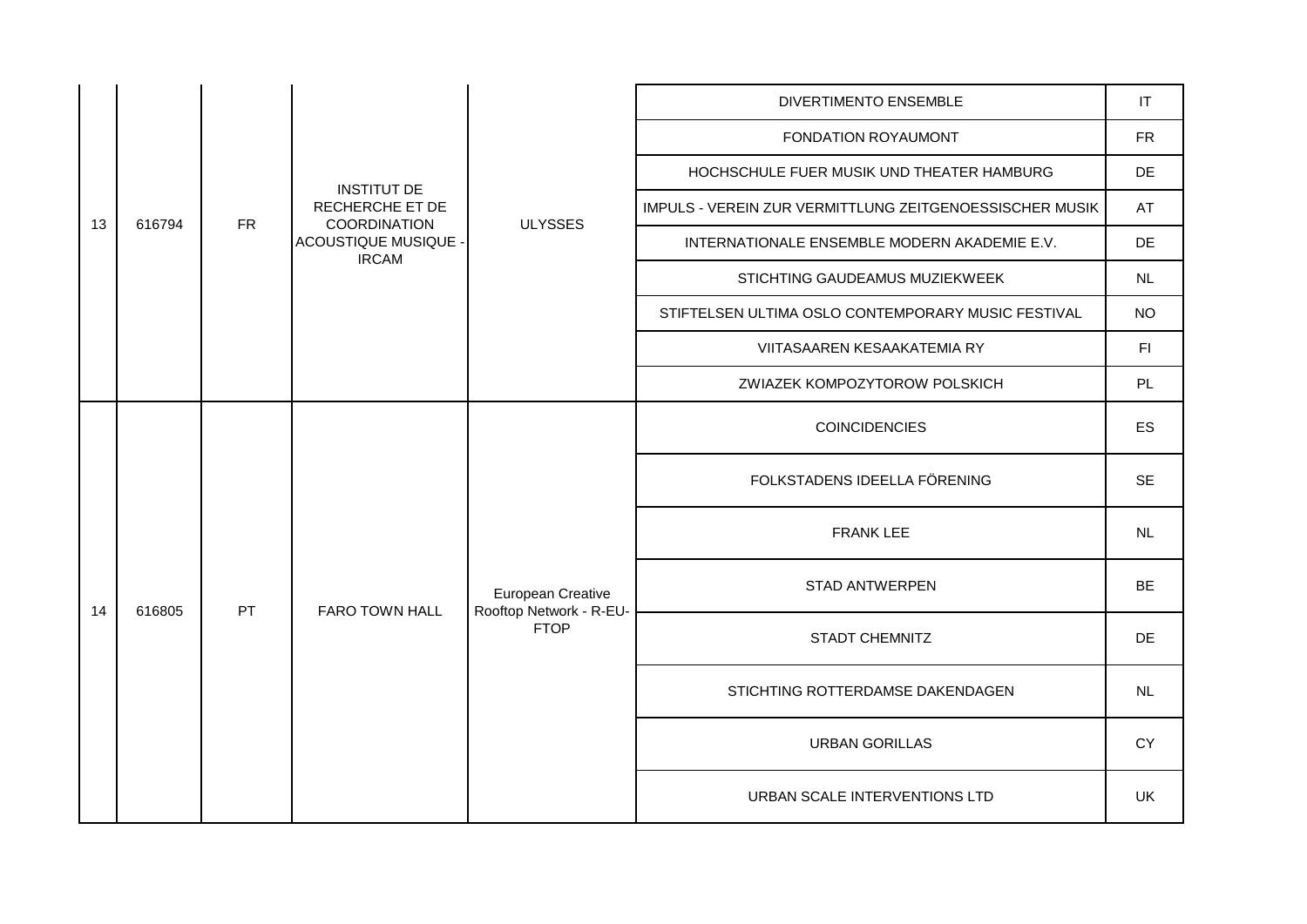|    |        |           |                                                       |                                                             | <b>DIVERTIMENTO ENSEMBLE</b>                            | IT        |
|----|--------|-----------|-------------------------------------------------------|-------------------------------------------------------------|---------------------------------------------------------|-----------|
|    |        |           |                                                       |                                                             | FONDATION ROYAUMONT                                     | <b>FR</b> |
|    |        |           |                                                       |                                                             | HOCHSCHULE FUER MUSIK UND THEATER HAMBURG               | DE        |
| 13 | 616794 | <b>FR</b> | <b>INSTITUT DE</b><br>RECHERCHE ET DE<br>COORDINATION | <b>ULYSSES</b>                                              | IMPULS - VEREIN ZUR VERMITTLUNG ZEITGENOESSISCHER MUSIK | AT        |
|    |        |           | ACOUSTIQUE MUSIQUE -<br><b>IRCAM</b>                  |                                                             | INTERNATIONALE ENSEMBLE MODERN AKADEMIE E.V.            | DE        |
|    |        |           |                                                       |                                                             | STICHTING GAUDEAMUS MUZIEKWEEK                          | NL        |
|    |        |           |                                                       |                                                             | STIFTELSEN ULTIMA OSLO CONTEMPORARY MUSIC FESTIVAL      | <b>NO</b> |
|    |        |           |                                                       |                                                             | VIITASAAREN KESAAKATEMIA RY                             | F1        |
|    |        |           |                                                       |                                                             | ZWIAZEK KOMPOZYTOROW POLSKICH                           | PL        |
|    |        |           | <b>PT</b><br><b>FARO TOWN HALL</b>                    | European Creative<br>Rooftop Network - R-EU-<br><b>FTOP</b> | <b>COINCIDENCIES</b>                                    | ES        |
|    |        |           |                                                       |                                                             | FOLKSTADENS IDEELLA FÖRENING                            | <b>SE</b> |
|    |        |           |                                                       |                                                             | FRANK LEE                                               | NL        |
| 14 | 616805 |           |                                                       |                                                             | <b>STAD ANTWERPEN</b>                                   | <b>BE</b> |
|    |        |           |                                                       |                                                             | <b>STADT CHEMNITZ</b>                                   | <b>DE</b> |
|    |        |           |                                                       |                                                             | STICHTING ROTTERDAMSE DAKENDAGEN                        | NL        |
|    |        |           |                                                       |                                                             | <b>URBAN GORILLAS</b>                                   | <b>CY</b> |
|    |        |           |                                                       |                                                             | URBAN SCALE INTERVENTIONS LTD                           | UK.       |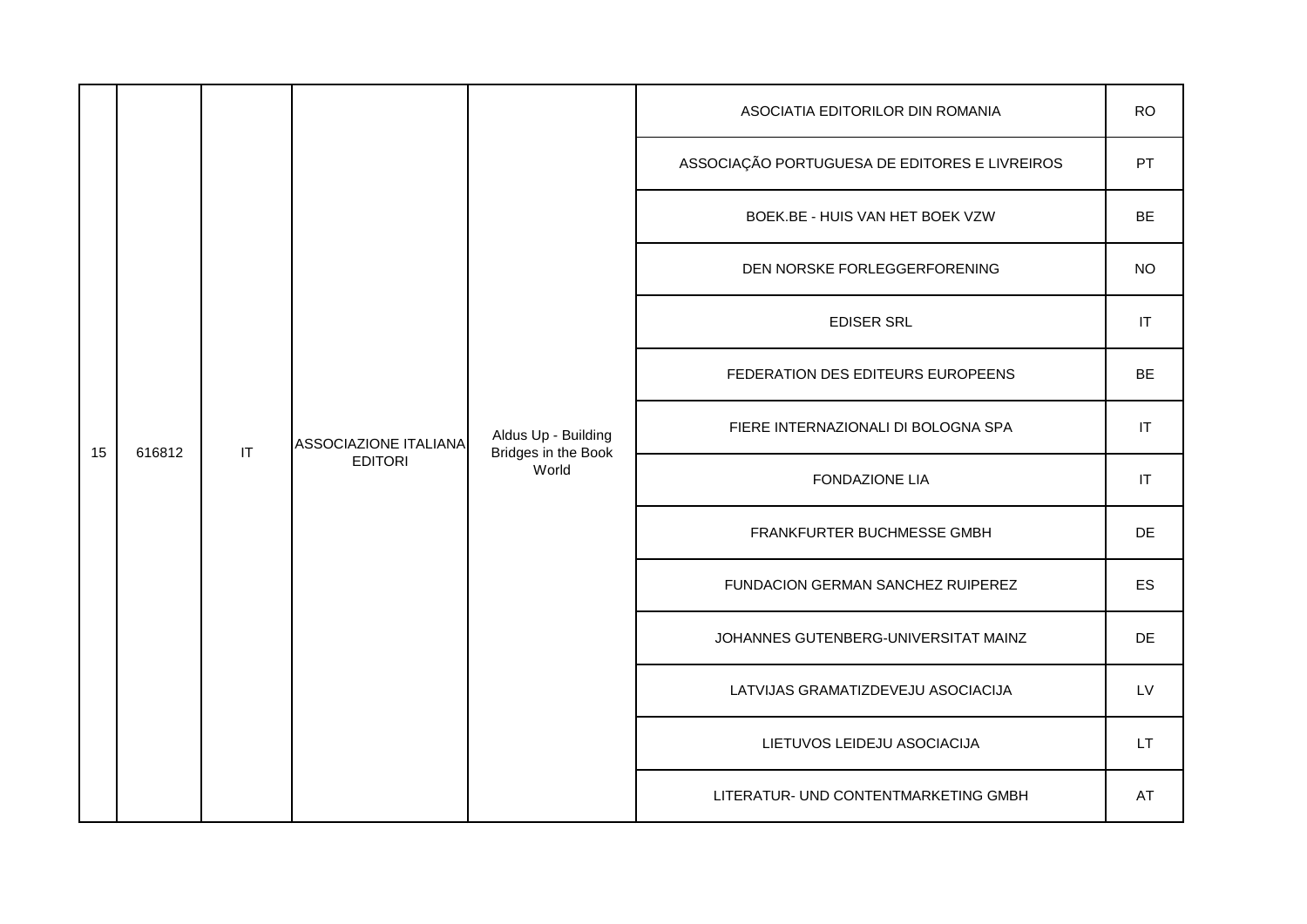|    |        |                        |                       |                                                     | ASOCIATIA EDITORILOR DIN ROMANIA              | <b>RO</b>                  |
|----|--------|------------------------|-----------------------|-----------------------------------------------------|-----------------------------------------------|----------------------------|
|    |        |                        |                       |                                                     | ASSOCIAÇÃO PORTUGUESA DE EDITORES E LIVREIROS | PT                         |
|    |        |                        |                       |                                                     | BOEK.BE - HUIS VAN HET BOEK VZW               | <b>BE</b>                  |
|    |        |                        |                       |                                                     | DEN NORSKE FORLEGGERFORENING                  | <b>NO</b>                  |
|    |        |                        |                       |                                                     | <b>EDISER SRL</b>                             | $\ensuremath{\mathsf{IT}}$ |
|    |        |                        |                       |                                                     | FEDERATION DES EDITEURS EUROPEENS             | BE                         |
| 15 | 616812 | $\mathsf{I}\mathsf{T}$ | ASSOCIAZIONE ITALIANA | Aldus Up - Building<br>Bridges in the Book<br>World | FIERE INTERNAZIONALI DI BOLOGNA SPA           | $ \mathsf{T} $             |
|    |        |                        | <b>EDITORI</b>        |                                                     | <b>FONDAZIONE LIA</b>                         | $ \mathsf{T} $             |
|    |        |                        |                       |                                                     | FRANKFURTER BUCHMESSE GMBH                    | DE                         |
|    |        |                        |                       |                                                     | FUNDACION GERMAN SANCHEZ RUIPEREZ             | <b>ES</b>                  |
|    |        |                        |                       |                                                     | JOHANNES GUTENBERG-UNIVERSITAT MAINZ          | DE                         |
|    |        |                        |                       |                                                     | LATVIJAS GRAMATIZDEVEJU ASOCIACIJA            | LV                         |
|    |        |                        |                       |                                                     | LIETUVOS LEIDEJU ASOCIACIJA                   | LT.                        |
|    |        |                        |                       |                                                     | LITERATUR- UND CONTENTMARKETING GMBH          | AT                         |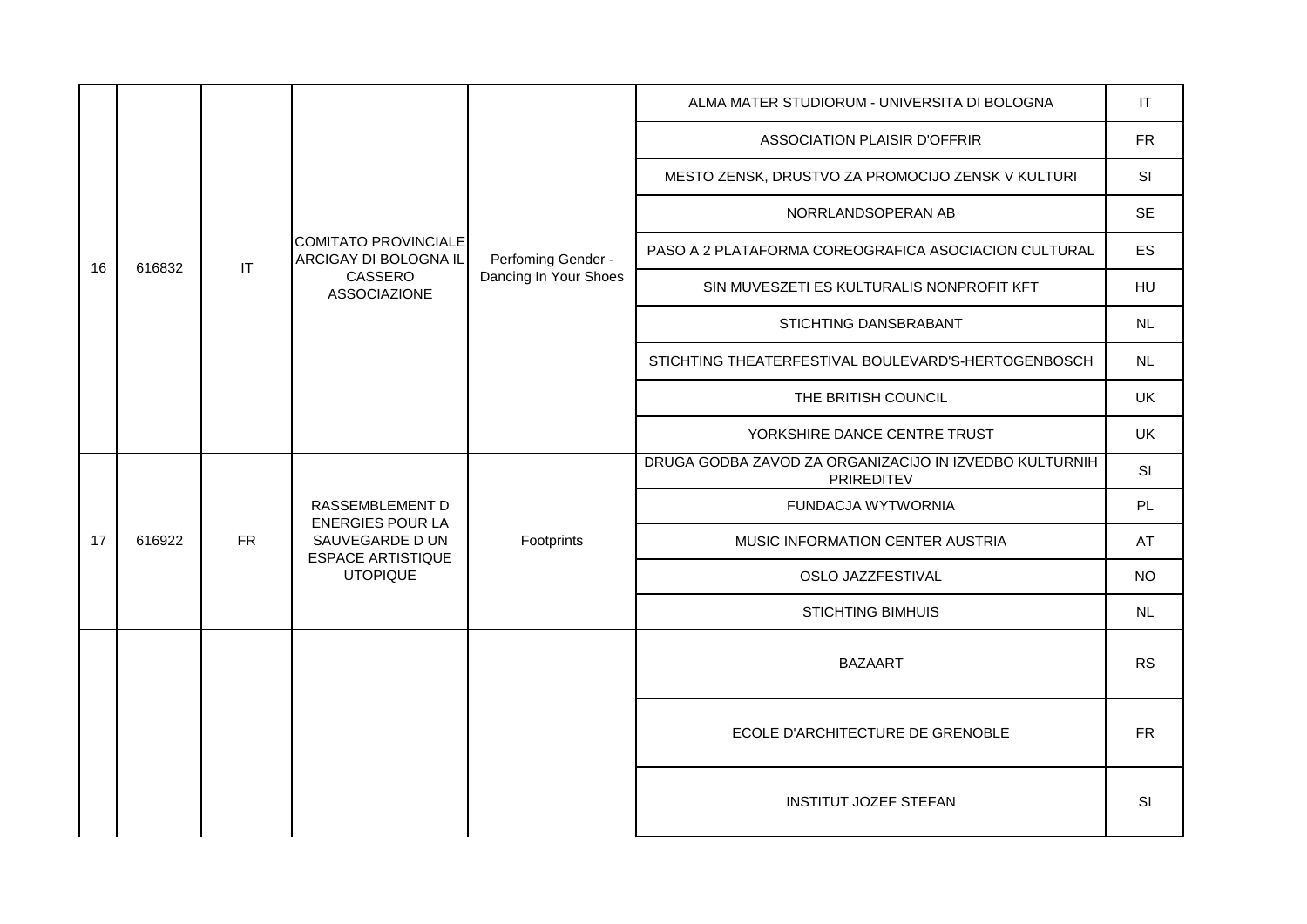|    |        |                        |                                                                                                              | ALMA MATER STUDIORUM - UNIVERSITA DI BOLOGNA | IT                                                                   |            |
|----|--------|------------------------|--------------------------------------------------------------------------------------------------------------|----------------------------------------------|----------------------------------------------------------------------|------------|
|    |        |                        |                                                                                                              |                                              | <b>ASSOCIATION PLAISIR D'OFFRIR</b>                                  | ${\sf FR}$ |
|    |        |                        |                                                                                                              |                                              | MESTO ZENSK, DRUSTVO ZA PROMOCIJO ZENSK V KULTURI                    | SI         |
|    |        |                        |                                                                                                              |                                              | NORRLANDSOPERAN AB                                                   | <b>SE</b>  |
| 16 | 616832 | $\mathsf{I}\mathsf{T}$ | <b>COMITATO PROVINCIALE</b><br>ARCIGAY DI BOLOGNA IL                                                         | Perfoming Gender -                           | PASO A 2 PLATAFORMA COREOGRAFICA ASOCIACION CULTURAL                 | ES         |
|    |        |                        | CASSERO<br><b>ASSOCIAZIONE</b>                                                                               | Dancing In Your Shoes                        | SIN MUVESZETI ES KULTURALIS NONPROFIT KFT                            | <b>HU</b>  |
|    |        |                        |                                                                                                              |                                              | STICHTING DANSBRABANT                                                | <b>NL</b>  |
|    |        |                        |                                                                                                              |                                              | STICHTING THEATERFESTIVAL BOULEVARD'S-HERTOGENBOSCH                  | NL.        |
|    |        |                        |                                                                                                              |                                              | THE BRITISH COUNCIL                                                  | <b>UK</b>  |
|    |        |                        |                                                                                                              |                                              | YORKSHIRE DANCE CENTRE TRUST                                         | UK         |
|    |        |                        | RASSEMBLEMENT D<br><b>ENERGIES POUR LA</b><br>SAUVEGARDE D UN<br><b>ESPACE ARTISTIQUE</b><br><b>UTOPIQUE</b> | Footprints                                   | DRUGA GODBA ZAVOD ZA ORGANIZACIJO IN IZVEDBO KULTURNIH<br>PRIREDITEV | <b>SI</b>  |
|    |        |                        |                                                                                                              |                                              | FUNDACJA WYTWORNIA                                                   | PL         |
| 17 | 616922 | ${\sf FR}$             |                                                                                                              |                                              | MUSIC INFORMATION CENTER AUSTRIA                                     | AT         |
|    |        |                        |                                                                                                              |                                              | OSLO JAZZFESTIVAL                                                    | <b>NO</b>  |
|    |        |                        |                                                                                                              |                                              | <b>STICHTING BIMHUIS</b>                                             | NL         |
|    |        |                        |                                                                                                              |                                              | <b>BAZAART</b>                                                       | <b>RS</b>  |
|    |        |                        |                                                                                                              |                                              | ECOLE D'ARCHITECTURE DE GRENOBLE                                     | <b>FR</b>  |
|    |        |                        |                                                                                                              |                                              | <b>INSTITUT JOZEF STEFAN</b>                                         | SI         |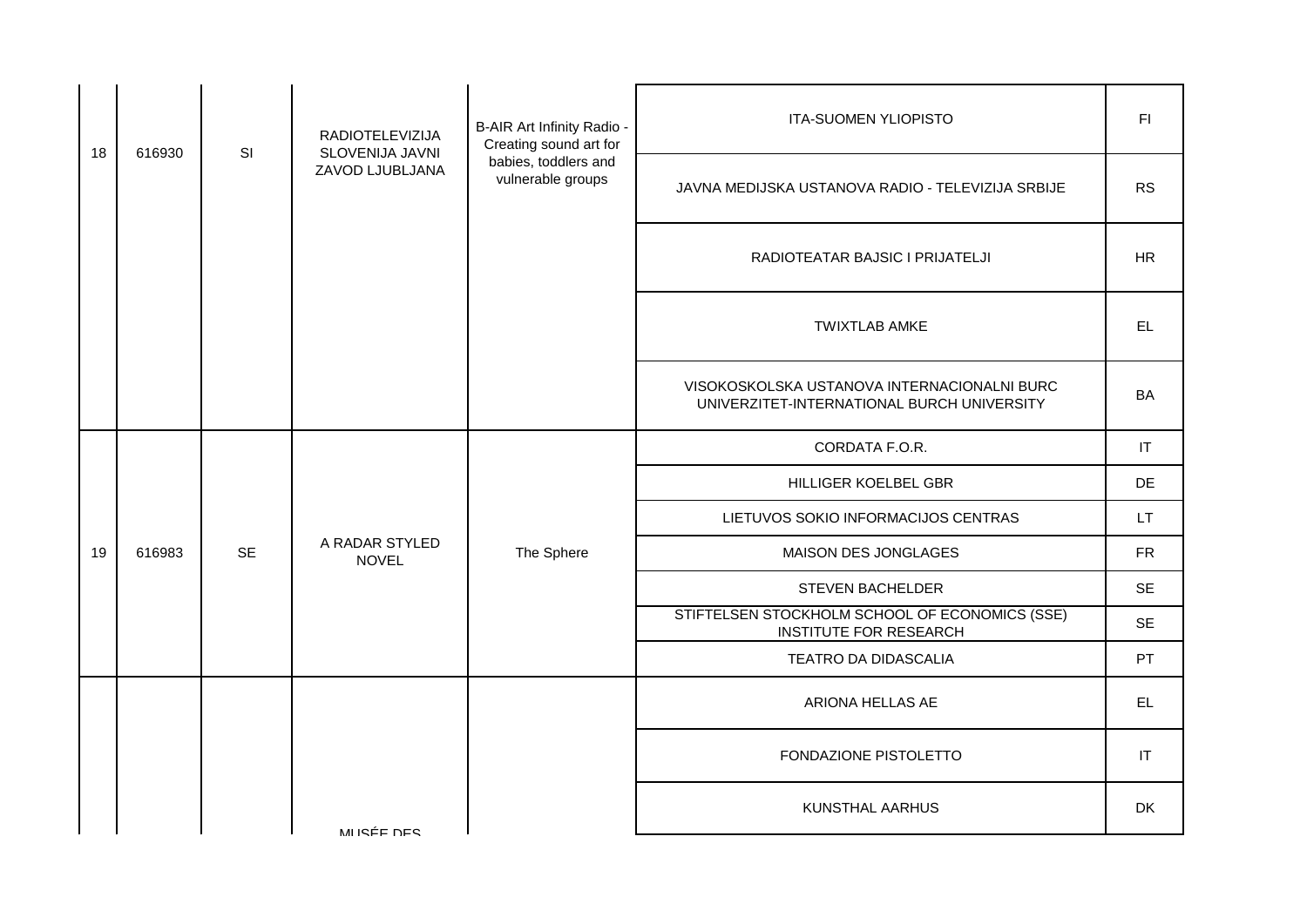|        |           | RADIOTELEVIZIJA                | B-AIR Art Infinity Radio -<br>Creating sound art for | <b>ITA-SUOMEN YLIOPISTO</b>                                                               | FI.        |
|--------|-----------|--------------------------------|------------------------------------------------------|-------------------------------------------------------------------------------------------|------------|
|        |           | ZAVOD LJUBLJANA                | babies, toddlers and<br>vulnerable groups            | JAVNA MEDIJSKA USTANOVA RADIO - TELEVIZIJA SRBIJE                                         | <b>RS</b>  |
|        |           |                                |                                                      | RADIOTEATAR BAJSIC I PRIJATELJI                                                           | <b>HR</b>  |
|        |           |                                |                                                      | <b>TWIXTLAB AMKE</b>                                                                      | EL.        |
|        |           |                                |                                                      | VISOKOSKOLSKA USTANOVA INTERNACIONALNI BURC<br>UNIVERZITET-INTERNATIONAL BURCH UNIVERSITY | BA         |
|        |           |                                |                                                      | CORDATA F.O.R.                                                                            | IT         |
|        |           |                                |                                                      | HILLIGER KOELBEL GBR                                                                      | DE         |
|        |           |                                |                                                      | LIETUVOS SOKIO INFORMACIJOS CENTRAS                                                       | LT.        |
| 616983 | <b>SE</b> | A RADAR STYLED<br><b>NOVEL</b> | The Sphere                                           | MAISON DES JONGLAGES                                                                      | ${\sf FR}$ |
|        |           |                                |                                                      | STEVEN BACHELDER                                                                          | <b>SE</b>  |
|        |           |                                |                                                      | STIFTELSEN STOCKHOLM SCHOOL OF ECONOMICS (SSE)<br><b>INSTITUTE FOR RESEARCH</b>           | <b>SE</b>  |
|        |           |                                |                                                      | TEATRO DA DIDASCALIA                                                                      | PT         |
|        |           |                                |                                                      | ARIONA HELLAS AE                                                                          | EL.        |
|        |           |                                |                                                      | FONDAZIONE PISTOLETTO                                                                     | IT         |
|        |           | MUSÉE DES                      |                                                      | KUNSTHAL AARHUS                                                                           | DK         |
|        | 616930    | SI                             | SLOVENIJA JAVNI                                      |                                                                                           |            |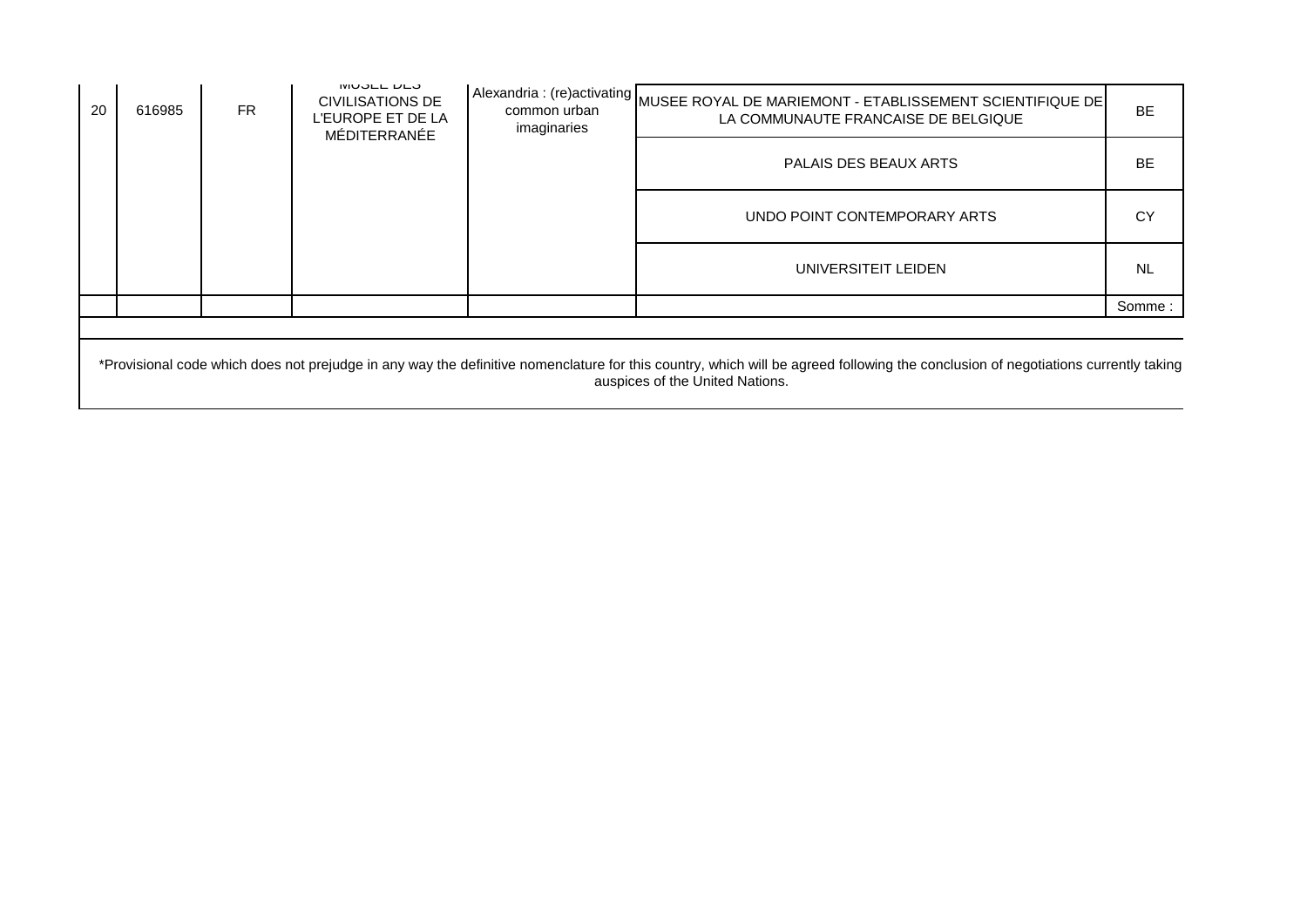| 20 | 616985 | <b>FR</b> | IVIUULL DLU<br><b>CIVILISATIONS DE</b><br>L'EUROPE ET DE LA<br>MÉDITERRANÉE | imaginaries | Alexandria : (re)activating MUSEE ROYAL DE MARIEMONT - ETABLISSEMENT SCIENTIFIQUE DE<br>LA COMMUNAUTE FRANCAISE DE BELGIQUE | <b>BE</b> |
|----|--------|-----------|-----------------------------------------------------------------------------|-------------|-----------------------------------------------------------------------------------------------------------------------------|-----------|
|    |        |           |                                                                             |             | PALAIS DES BEAUX ARTS                                                                                                       | <b>BE</b> |
|    |        |           |                                                                             |             | UNDO POINT CONTEMPORARY ARTS                                                                                                | СY        |
|    |        |           |                                                                             |             | UNIVERSITEIT LEIDEN                                                                                                         | NL.       |
|    |        |           |                                                                             |             |                                                                                                                             | Somme:    |
|    |        |           |                                                                             |             |                                                                                                                             |           |

\*Provisional code which does not prejudge in any way the definitive nomenclature for this country, which will be agreed following the conclusion of negotiations currently taking auspices of the United Nations.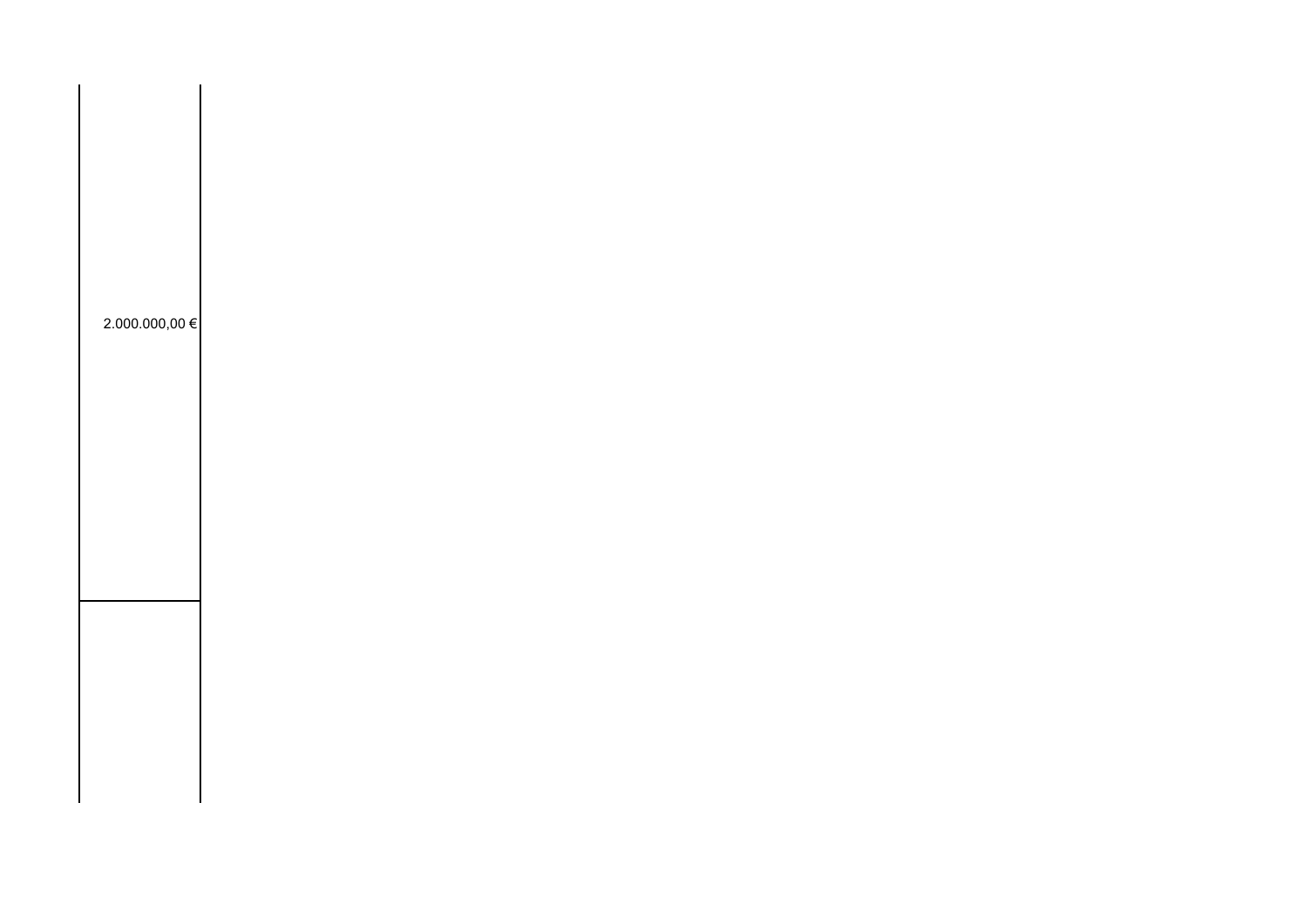| 2.000.000,00 € |  |  |  |
|----------------|--|--|--|
|                |  |  |  |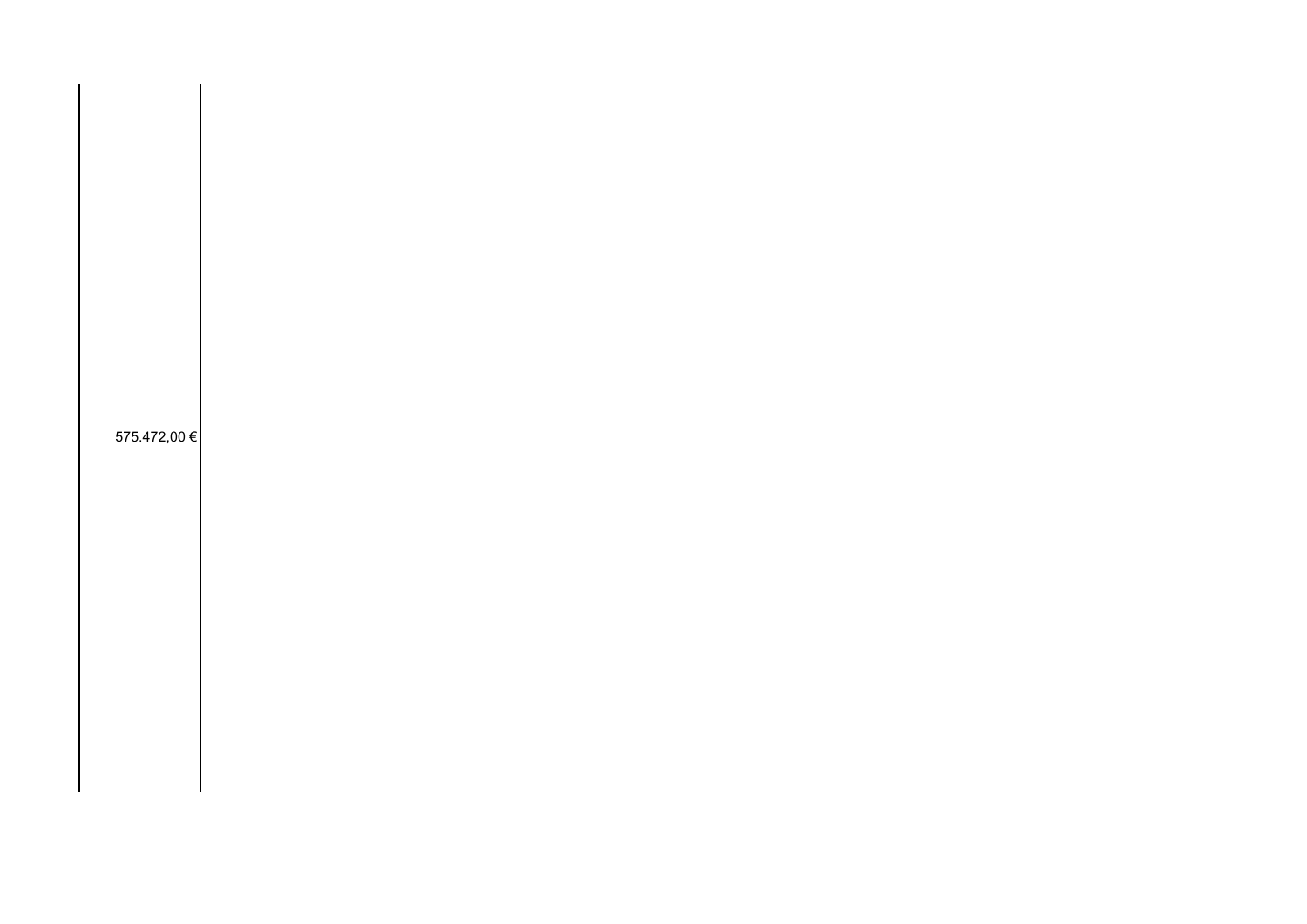575.472,00 €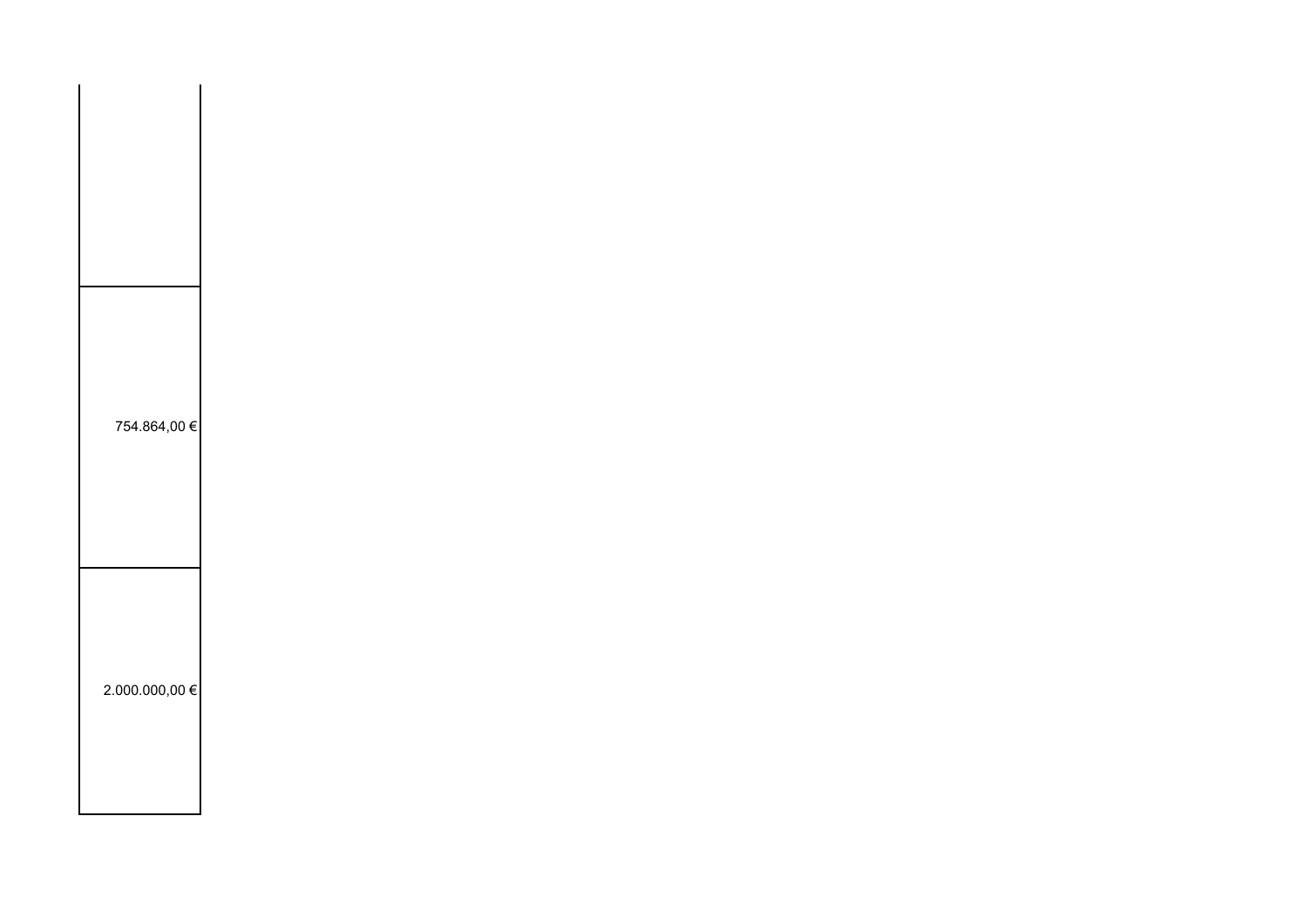| 754.864,00 €       |  |  |  |
|--------------------|--|--|--|
| $2.000.000,00 \in$ |  |  |  |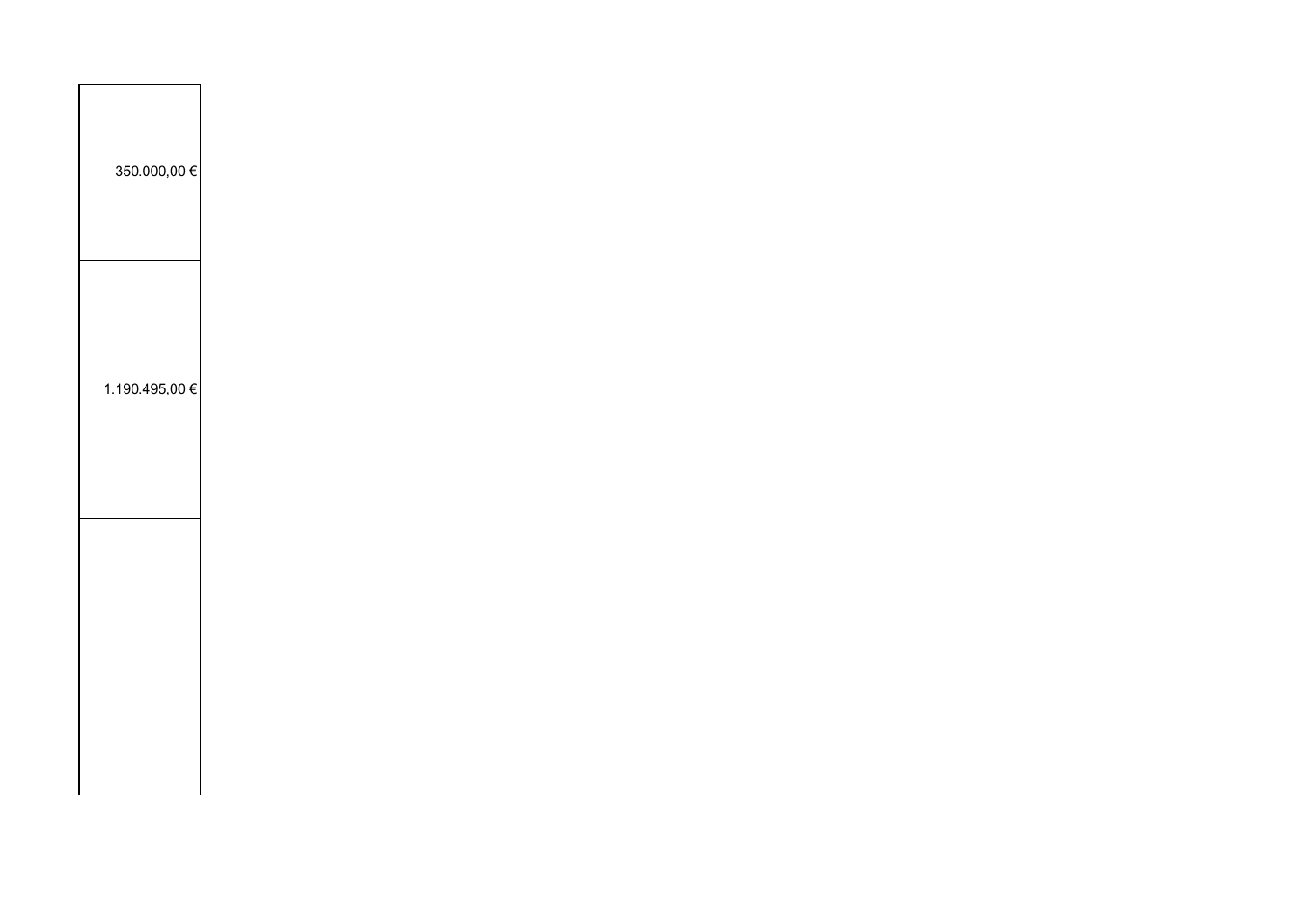| 350.000,00 €   |  |  |  |
|----------------|--|--|--|
| 1.190.495,00 € |  |  |  |
|                |  |  |  |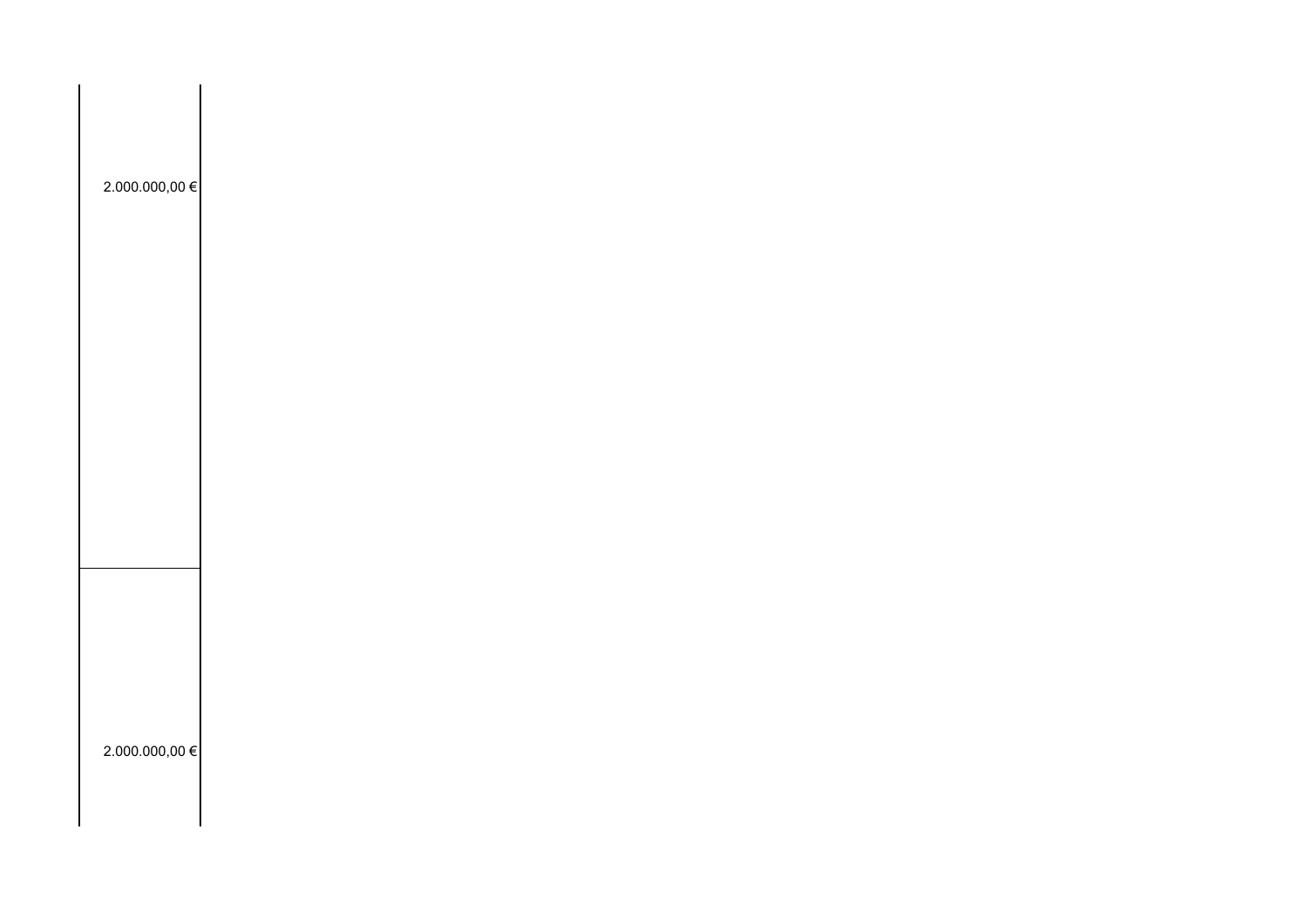| $2.000.000,00 \in$ |  |  |  |
|--------------------|--|--|--|
|                    |  |  |  |
|                    |  |  |  |
|                    |  |  |  |
|                    |  |  |  |
| 2.000.000,00 €     |  |  |  |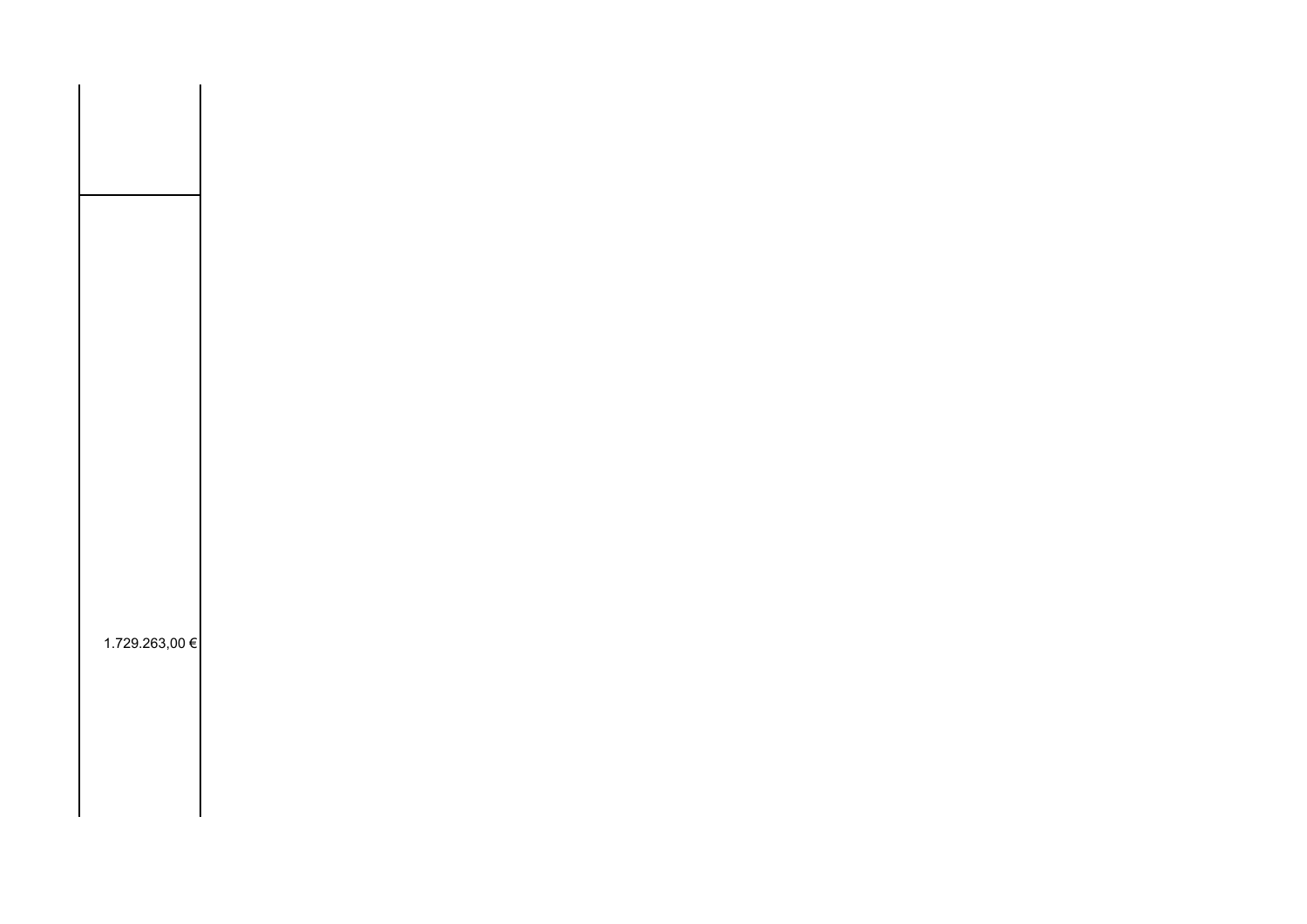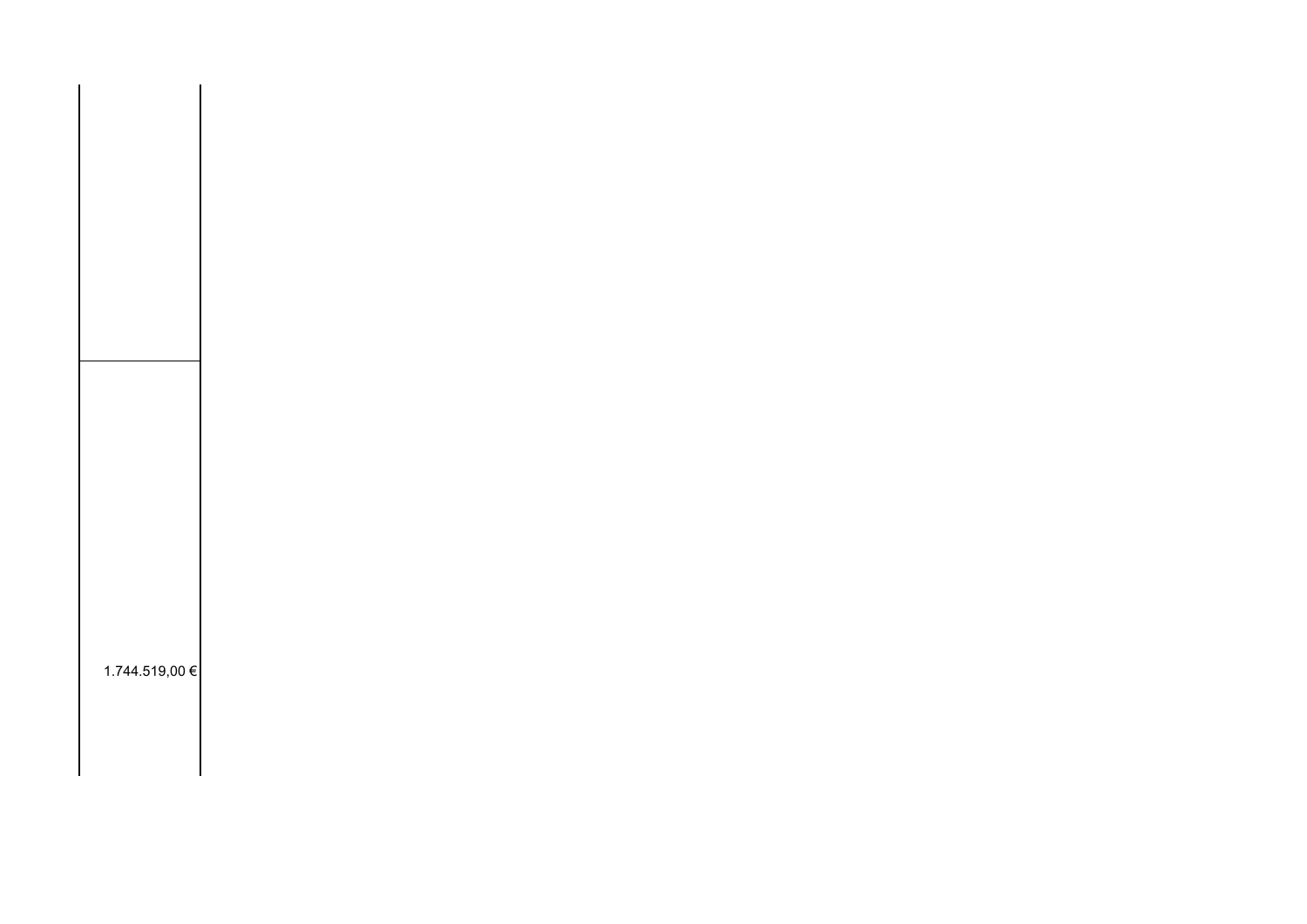| 1.744.519,00 € |  |
|----------------|--|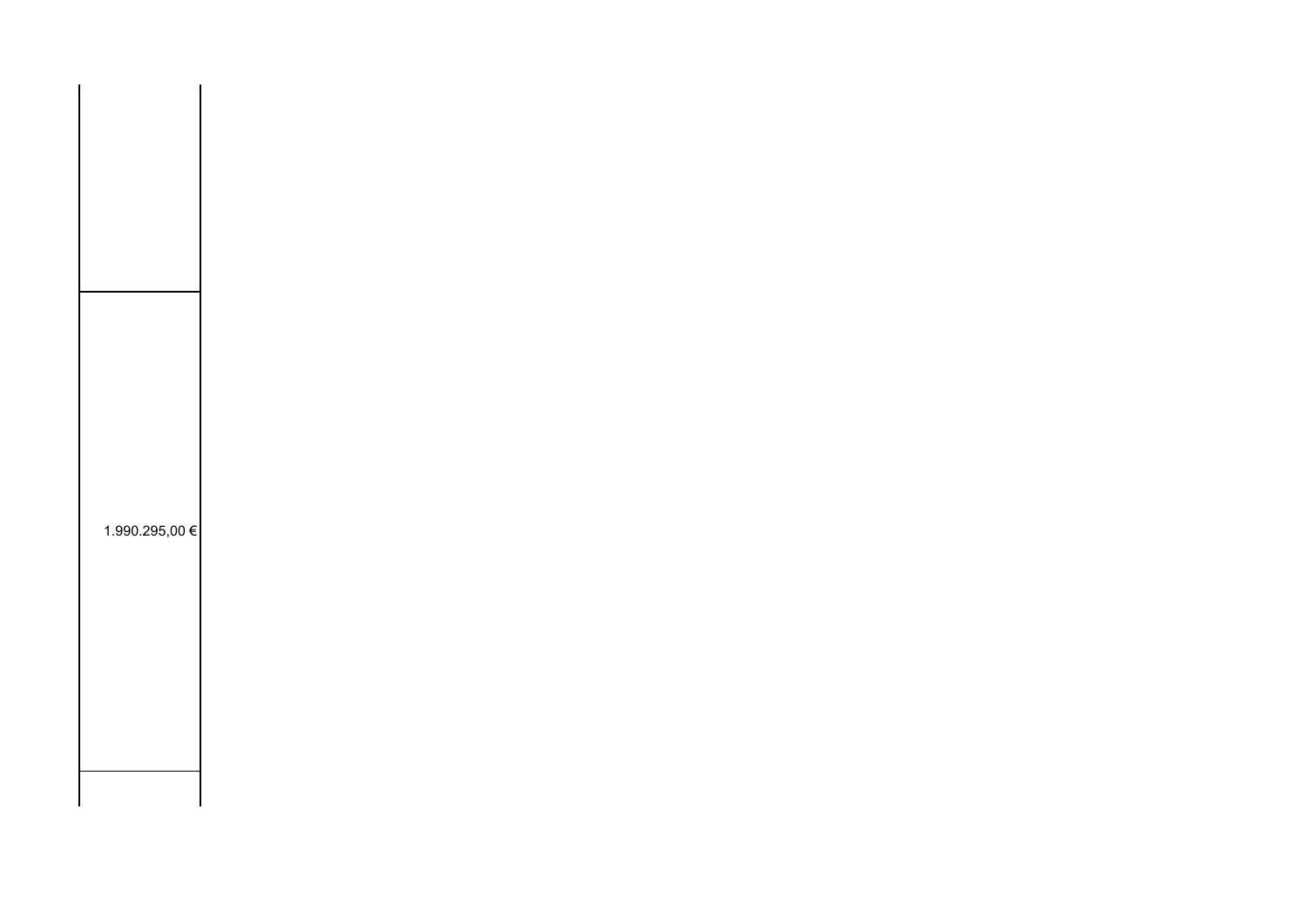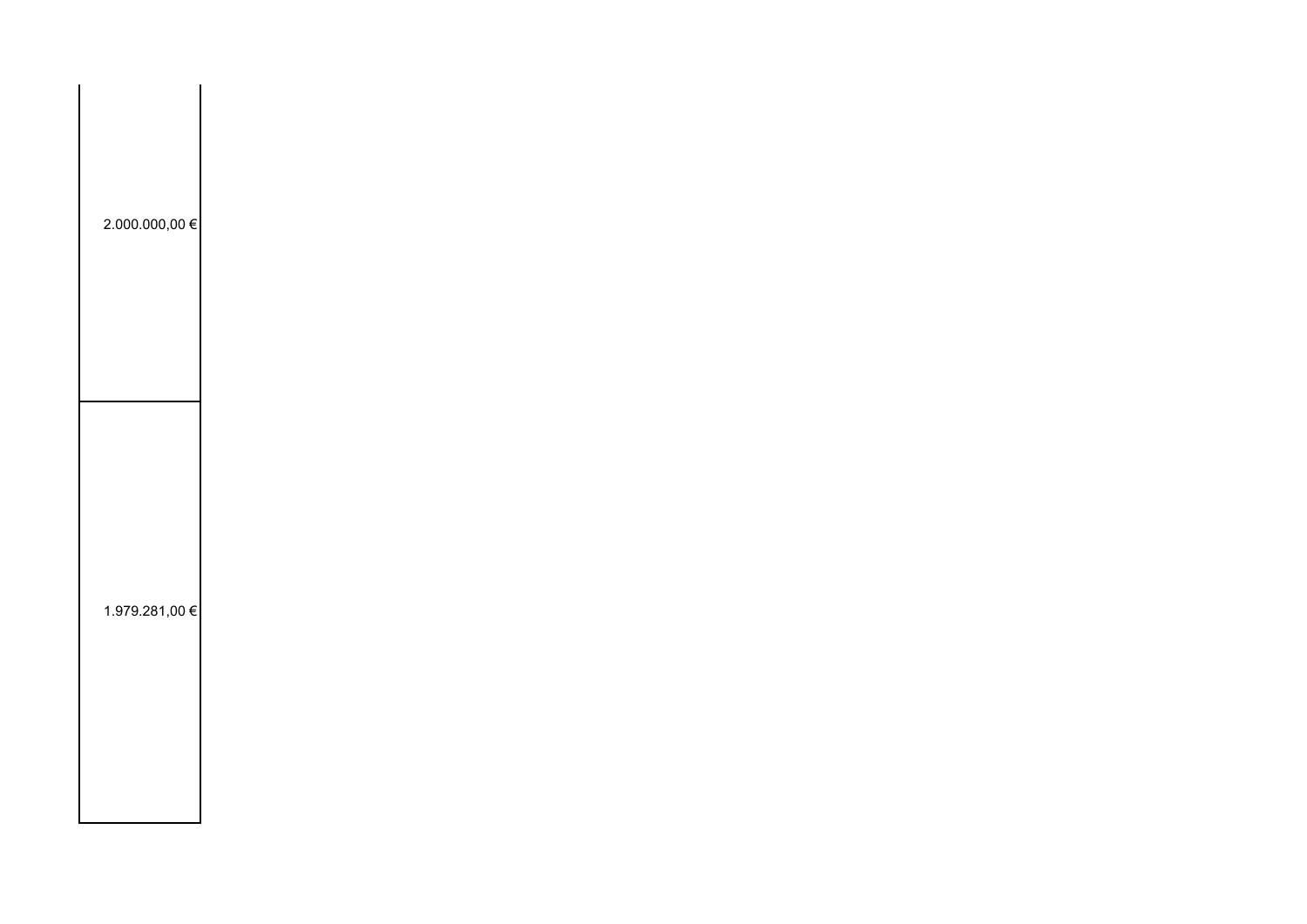| 2.000.000,00 € |  |  |  |
|----------------|--|--|--|
| 1.979.281,00 € |  |  |  |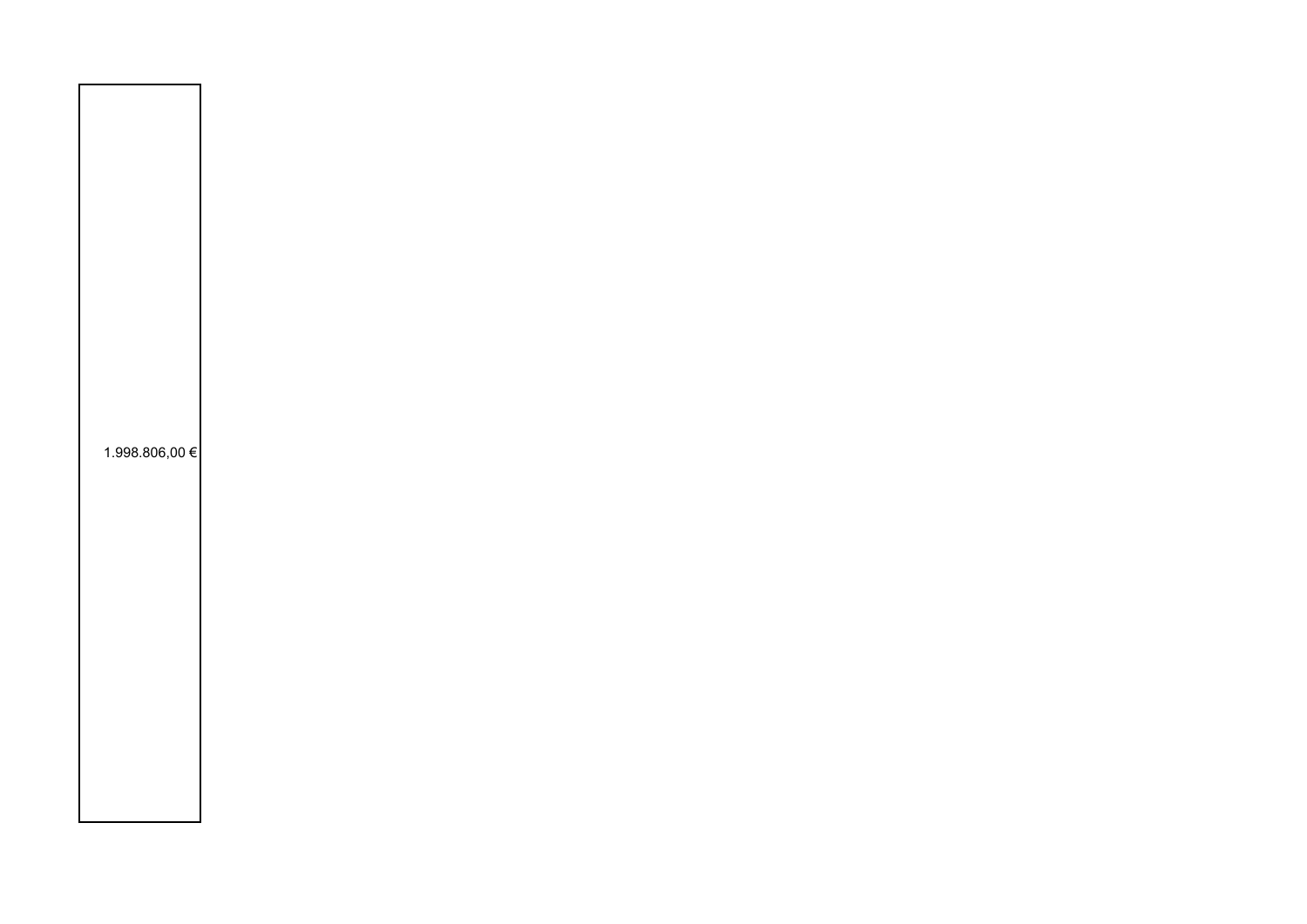| 1.998.806,00 € |  |  |
|----------------|--|--|
|                |  |  |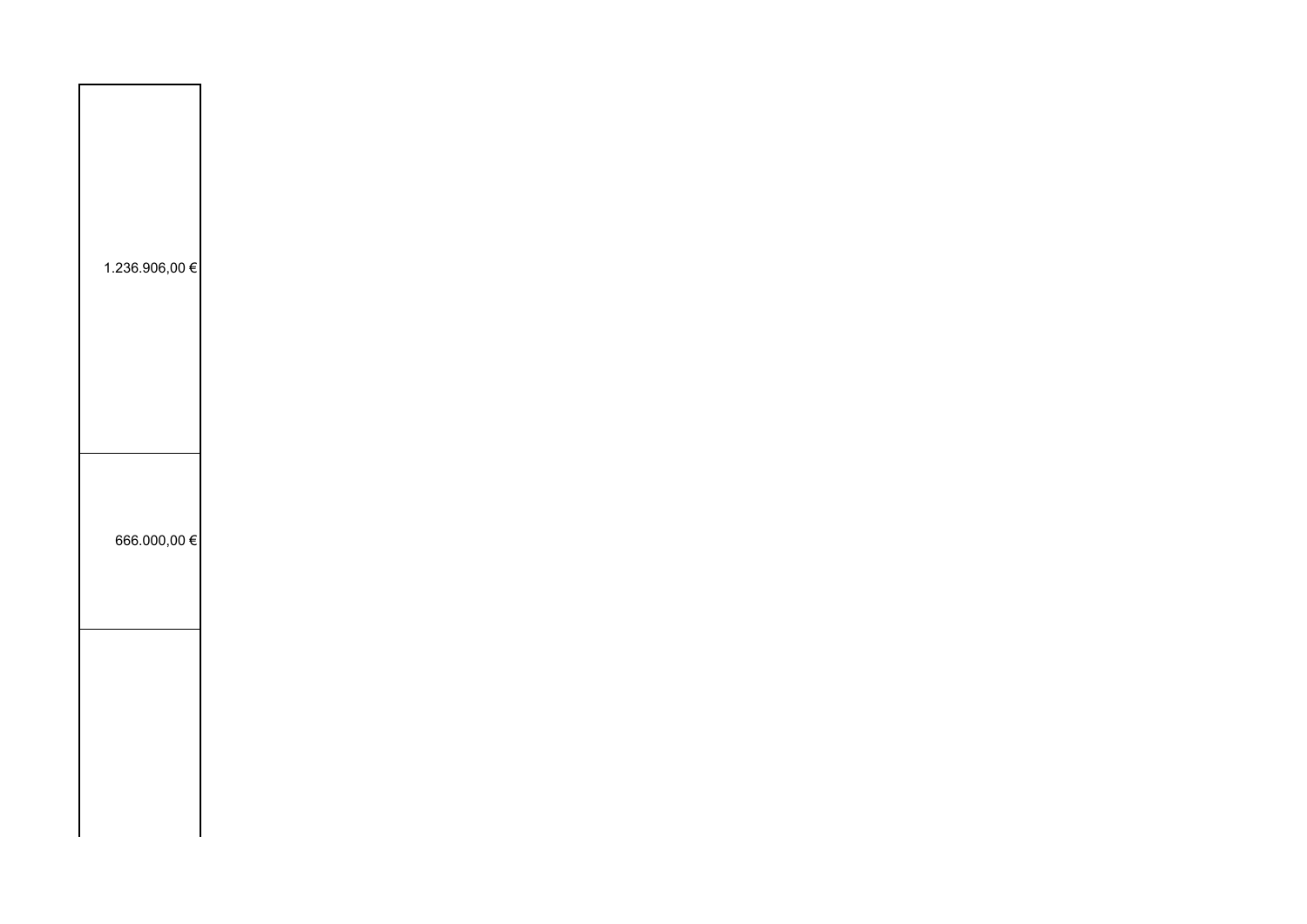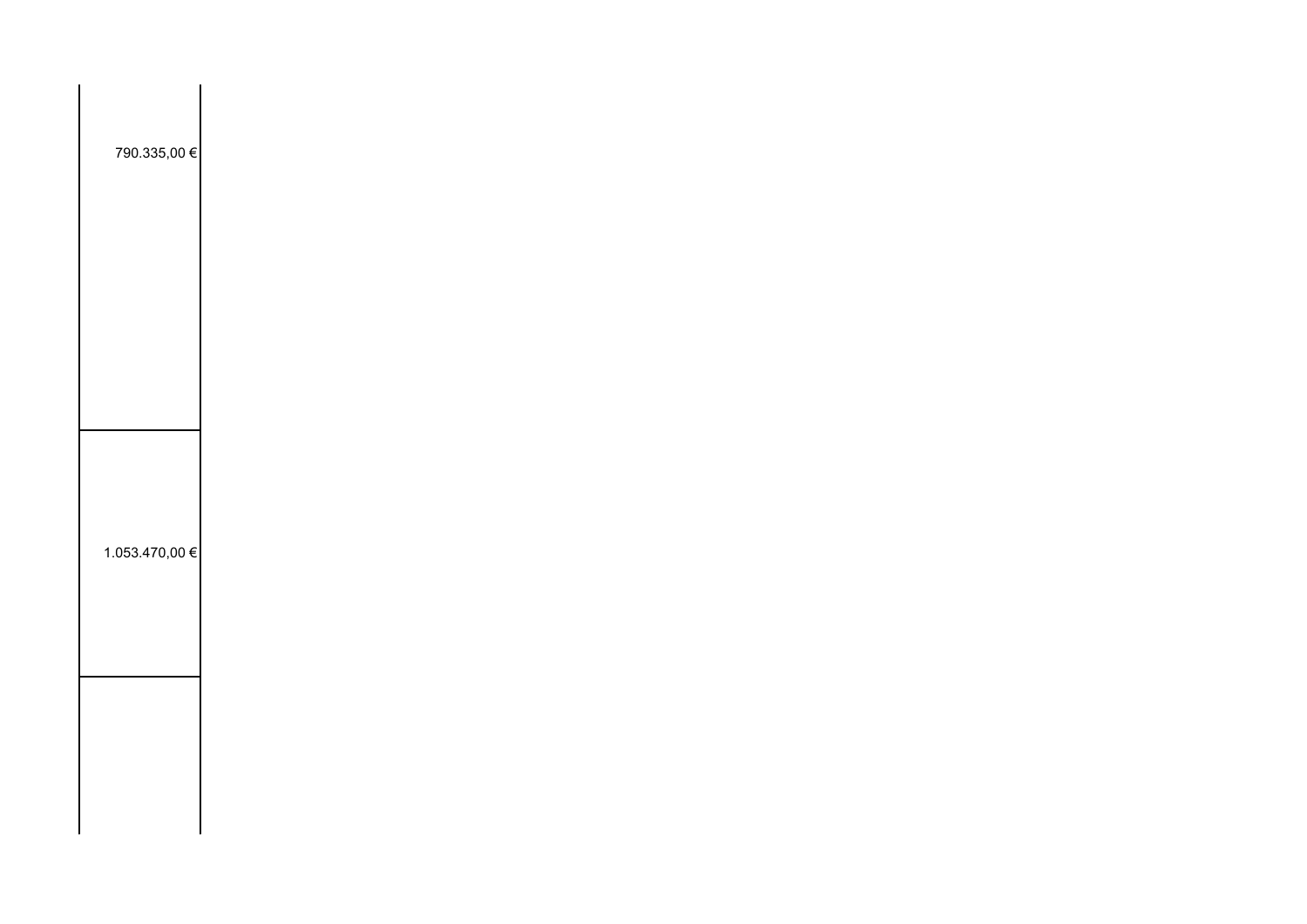| 790.335,00 €   |  |  |  |
|----------------|--|--|--|
|                |  |  |  |
|                |  |  |  |
| 1.053.470,00 € |  |  |  |
|                |  |  |  |